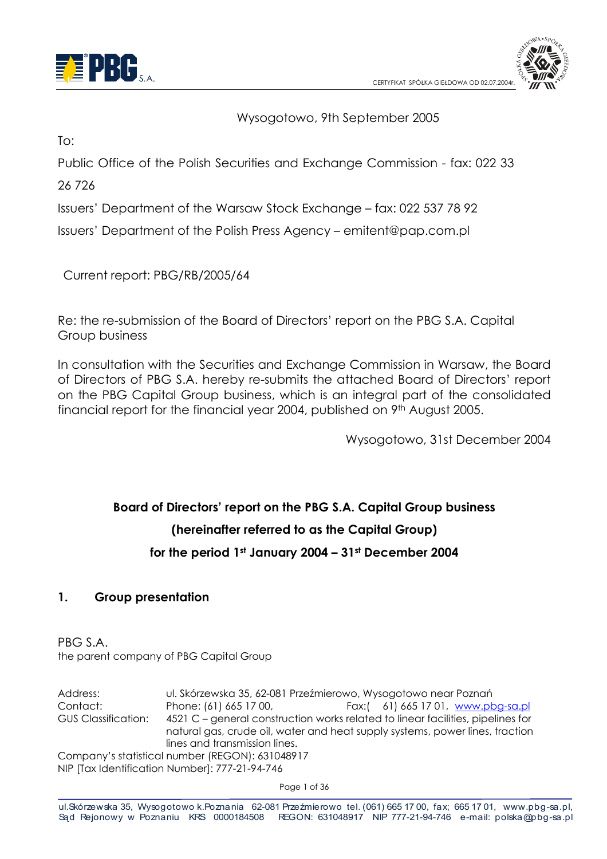



#### Wysogotowo, 9th September 2005

 $To:$ 

Public Office of the Polish Securities and Exchange Commission - fax: 022 33

26726

Issuers' Department of the Warsaw Stock Exchange - fax: 022 537 78 92

Issuers' Department of the Polish Press Agency – emitent@pap.com.pl

Current report: PBG/RB/2005/64

Re: the re-submission of the Board of Directors' report on the PBG S.A. Capital Group business

In consultation with the Securities and Exchange Commission in Warsaw, the Board of Directors of PBG S.A. hereby re-submits the attached Board of Directors' report on the PBG Capital Group business, which is an integral part of the consolidated financial report for the financial year 2004, published on 9th August 2005.

Wysogotowo, 31st December 2004

# Board of Directors' report on the PBG S.A. Capital Group business (hereinafter referred to as the Capital Group) for the period 1st January 2004 - 31st December 2004

#### $\mathbf{1}$ . **Group presentation**

PBG S.A. the parent company of PBG Capital Group

Address: ul. Skórzewska 35, 62-081 Przeźmierowo, Wysogotowo near Poznań Contact: Phone: (61) 665 17 00, Fax:( 61) 665 17 01, www.pbg-sa.pl **GUS Classification:** 4521 C - general construction works related to linear facilities, pipelines for natural gas, crude oil, water and heat supply systems, power lines, traction lines and transmission lines. Company's statistical number (REGON): 631048917 NIP [Tax Identification Number]: 777-21-94-746

Page 1 of 36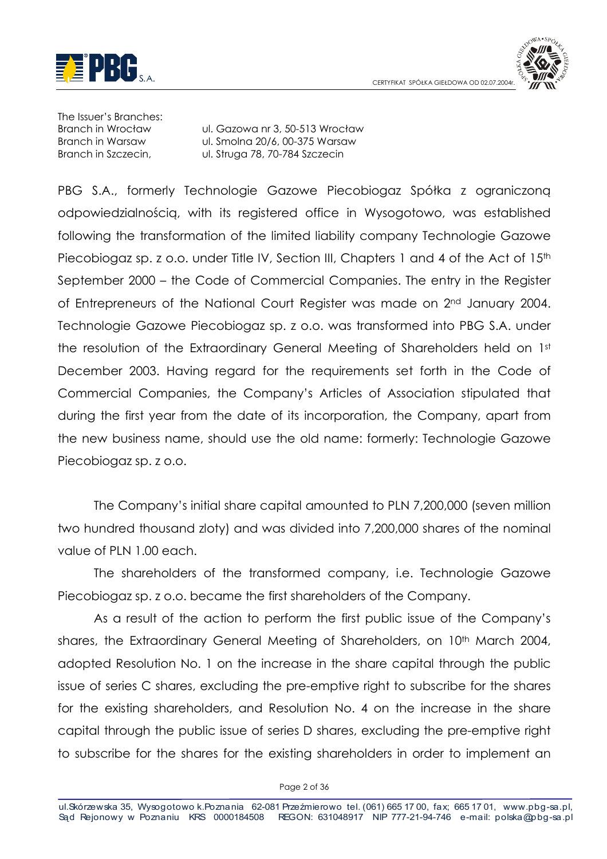



The Issuer's Branches: **Branch in Wrocław Branch in Warsaw** Branch in Szczecin.

ul. Gazowa nr 3, 50-513 Wrocław ul. Smolna 20/6, 00-375 Warsaw ul. Strugg 78, 70-784 Szczecin

PBG S.A., formerly Technologie Gazowe Piecobiogaz Spółka z ograniczona odpowiedzialnością, with its registered office in Wysogotowo, was established following the transformation of the limited liability company Technologie Gazowe Piecobiogaz sp. z o.o. under Title IV, Section III, Chapters 1 and 4 of the Act of 15th September 2000 – the Code of Commercial Companies. The entry in the Register of Entrepreneurs of the National Court Register was made on 2<sup>nd</sup> January 2004. Technologie Gazowe Piecobiogaz sp. z o.o. was transformed into PBG S.A. under the resolution of the Extraordinary General Meeting of Shareholders held on 1st December 2003. Having regard for the requirements set forth in the Code of Commercial Companies, the Company's Articles of Association stipulated that during the first year from the date of its incorporation, the Company, apart from the new business name, should use the old name: formerly: Technologie Gazowe Piecobiogaz sp. z o.o.

The Company's initial share capital amounted to PLN 7,200,000 (seven million two hundred thousand zloty) and was divided into 7,200,000 shares of the nominal value of PLN 1.00 each.

The shareholders of the transformed company, i.e. Technologie Gazowe Piecobiogaz sp. z o.o. became the first shareholders of the Company.

As a result of the action to perform the first public issue of the Company's shares, the Extraordinary General Meeting of Shareholders, on 10<sup>th</sup> March 2004, adopted Resolution No. 1 on the increase in the share capital through the public issue of series C shares, excluding the pre-emptive right to subscribe for the shares for the existing shareholders, and Resolution No. 4 on the increase in the share capital through the public issue of series D shares, excluding the pre-emptive right to subscribe for the shares for the existing shareholders in order to implement an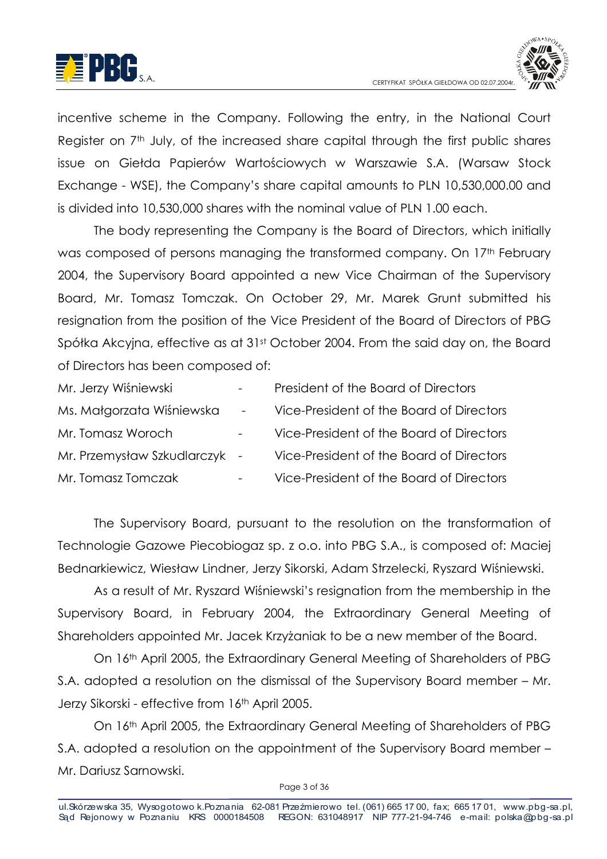



incentive scheme in the Company. Following the entry, in the National Court Reaister on 7<sup>th</sup> July, of the increased share capital through the first public shares issue on Giełda Papierów Wartościowych w Warszawie S.A. (Warsaw Stock Exchange - WSE), the Company's share capital amounts to PLN 10.530.000.00 and is divided into 10.530.000 shares with the nominal value of PLN 1.00 each.

The body representing the Company is the Board of Directors, which initially was composed of persons managing the transformed company. On 17th February 2004, the Supervisory Board appointed a new Vice Chairman of the Supervisory Board, Mr. Tomasz Tomczak. On October 29, Mr. Marek Grunt submitted his resignation from the position of the Vice President of the Board of Directors of PBG Spółka Akcyjna, effective as at 31st October 2004. From the said day on, the Board of Directors has been composed of:

| Mr. Jerzy Wiśniewski          | $-$                      | President of the Board of Directors      |
|-------------------------------|--------------------------|------------------------------------------|
| Ms. Małgorzata Wiśniewska     | $\overline{\phantom{a}}$ | Vice-President of the Board of Directors |
| Mr. Tomasz Woroch             |                          | Vice-President of the Board of Directors |
| Mr. Przemysław Szkudlarczyk - |                          | Vice-President of the Board of Directors |
| Mr. Tomasz Tomczak            |                          | Vice-President of the Board of Directors |

The Supervisory Board, pursuant to the resolution on the transformation of Technologie Gazowe Piecobiogaz sp. z o.o. into PBG S.A., is composed of: Maciej Bednarkiewicz, Wiesław Lindner, Jerzy Sikorski, Adam Strzelecki, Ryszard Wiśniewski.

As a result of Mr. Ryszard Wiśniewski's resignation from the membership in the Supervisory Board, in February 2004, the Extraordinary General Meeting of Shareholders appointed Mr. Jacek Krzyżaniak to be a new member of the Board.

On 16th April 2005, the Extraordinary General Meeting of Shareholders of PBG S.A. adopted a resolution on the dismissal of the Supervisory Board member - Mr. Jerzy Sikorski - effective from 16th April 2005.

On 16th April 2005, the Extraordinary General Meeting of Shareholders of PBG S.A. adopted a resolution on the appointment of the Supervisory Board member -Mr. Dariusz Sarnowski.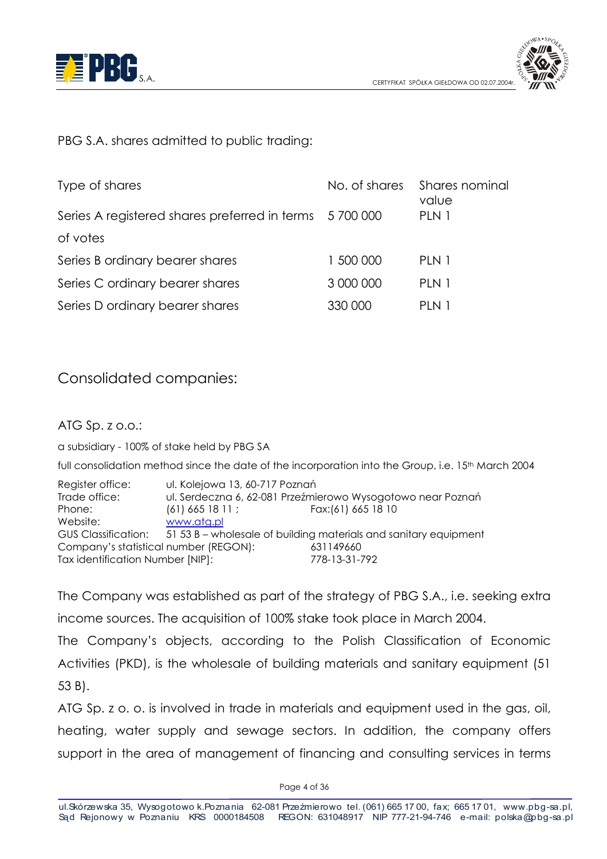



PBG S.A. shares admitted to public tradina:

| Type of shares                                        | No. of shares | Shares nominal<br>value |
|-------------------------------------------------------|---------------|-------------------------|
| Series A registered shares preferred in terms 5700000 |               | PLN 1                   |
| of votes                                              |               |                         |
| Series B ordinary bearer shares                       | 1 500 000     | PLN 1                   |
| Series C ordinary bearer shares                       | 3 000 000     | PLN 1                   |
| Series D ordinary bearer shares                       | 330 000       | PLN 1                   |

# **Consolidated companies:**

ATG Sp. z o.o.:

a subsidiary - 100% of stake held by PBG SA

full consolidation method since the date of the incorporation into the Group, i.e. 15<sup>th</sup> March 2004

Register office: ul. Kolejowa 13, 60-717 Poznań Trade office: ul. Serdeczna 6, 62-081 Przeźmierowo Wysogotowo near Poznań Phone:  $(61)$  665 18 11: Fax: (61) 665 18 10 www.atg.pl Website<sup>.</sup> **GUS Classification:** 51 53 B - wholesale of building materials and sanitary equipment Company's statistical number (REGON): 631149660 778-13-31-792 Tax identification Number [NIP]:

The Company was established as part of the strategy of PBG S.A., i.e. seeking extra income sources. The acquisition of 100% stake took place in March 2004.

The Company's objects, according to the Polish Classification of Economic Activities (PKD), is the wholesale of building materials and sanitary equipment (51)  $53B$ .

ATG Sp. z o. o. is involved in trade in materials and equipment used in the gas, oil, heating, water supply and sewage sectors. In addition, the company offers support in the area of management of financing and consulting services in terms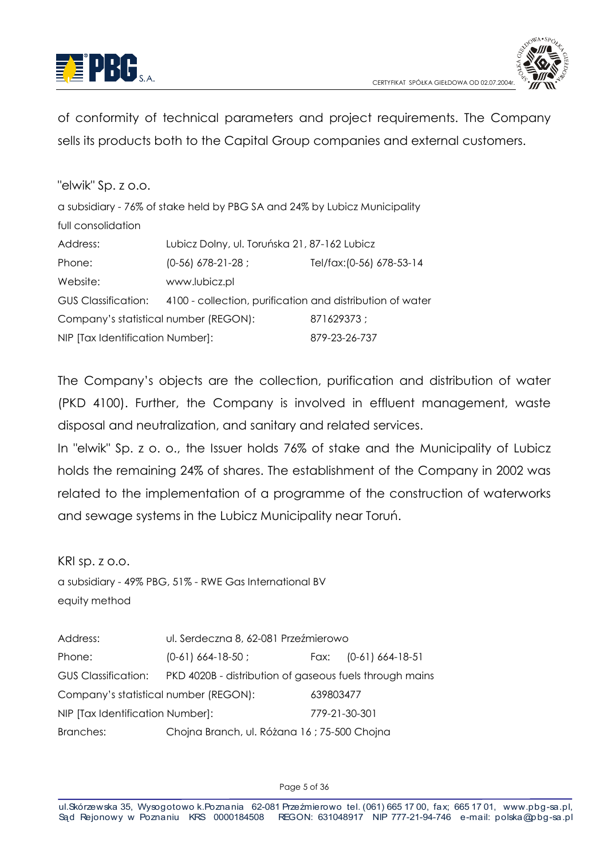



of conformity of technical parameters and project requirements. The Company sells its products both to the Capital Group companies and external customers.

| "elwik" Sp. z o.o.                    |                                                                           |                           |
|---------------------------------------|---------------------------------------------------------------------------|---------------------------|
|                                       | a subsidiary - 76% of stake held by PBG SA and 24% by Lubicz Municipality |                           |
| full consolidation                    |                                                                           |                           |
| Address:                              | Lubicz Dolny, ul. Toruńska 21, 87-162 Lubicz                              |                           |
| Phone:                                | $(0-56)$ 678-21-28;                                                       | Tel/fax: (0-56) 678-53-14 |
| Website:                              | www.lubicz.pl                                                             |                           |
| <b>GUS Classification:</b>            | 4100 - collection, purification and distribution of water                 |                           |
| Company's statistical number (REGON): |                                                                           | 871629373;                |
| NIP [Tax Identification Number]:      |                                                                           | 879-23-26-737             |

The Company's objects are the collection, purification and distribution of water (PKD 4100). Further, the Company is involved in effluent management, waste disposal and neutralization, and sanitary and related services.

In "elwik" Sp. z o. o., the Issuer holds 76% of stake and the Municipality of Lubicz holds the remaining 24% of shares. The establishment of the Company in 2002 was related to the implementation of a programme of the construction of waterworks and sewage systems in the Lubicz Municipality near Toruń.

KRI  $sp. z 0.0$ .

a subsidiary - 49% PBG, 51% - RWE Gas International BV equity method

Address: ul. Serdeczna 8, 62-081 Przeźmierowo Phone<sup>.</sup>  $(0-61)$  664-18-50; Fax:  $(0-61)$  664-18-51 **GUS Classification:** PKD 4020B - distribution of aaseous fuels through mains Company's statistical number (REGON): 639803477 779-21-30-301 NIP [Tax Identification Number]: Branches: Choina Branch, ul. Różana 16 ; 75-500 Choina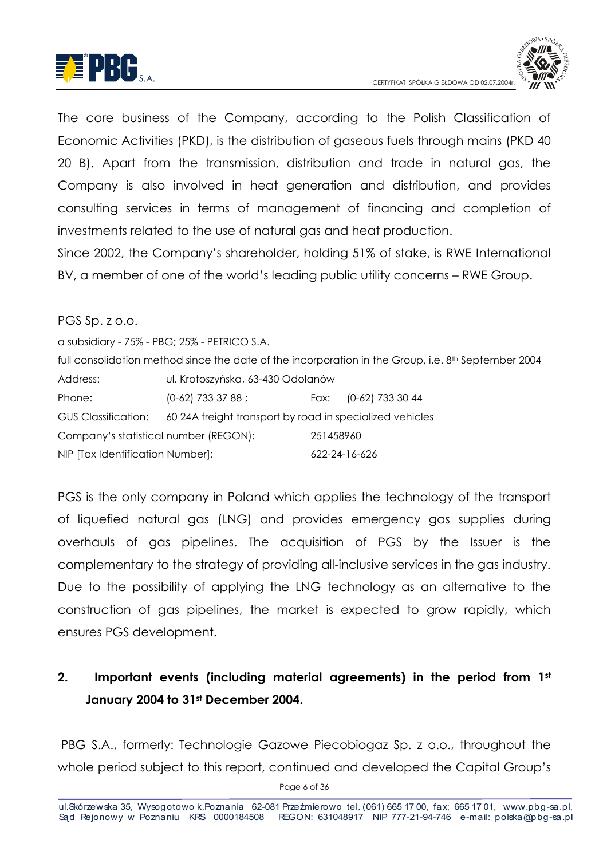



The core business of the Company, according to the Polish Classification of Economic Activities (PKD), is the distribution of agseous fuels through mains (PKD 40 20 B). Apart from the transmission, distribution and trade in natural gas, the Company is also involved in heat aeneration and distribution, and provides consulting services in terms of management of financing and completion of investments related to the use of natural gas and heat production.

Since 2002, the Company's shareholder, holding 51% of stake, is RWE International BV, a member of one of the world's leading public utility concerns - RWE Group.

#### PGS Sp. z o.o.

a subsidiary - 75% - PBG; 25% - PETRICO S.A. full consolidation method since the date of the incorporation in the Group, i.e. 8<sup>th</sup> September 2004 ul. Krotoszyńska, 63-430 Odolanów Address: Phone:  $(0-62)$  733 37 88 : Fax: (0-62) 733 30 44 **GUS Classification:** 60 24A freight transport by road in specialized vehicles Company's statistical number (REGON): 251458960 622-24-16-626 NIP [Tax Identification Number]:

PGS is the only company in Poland which applies the technology of the transport of liquefied natural gas (LNG) and provides emergency gas supplies during overhauls of aas pipelines. The acauisition of PGS by the Issuer is the complementary to the strategy of providing all-inclusive services in the gas industry. Due to the possibility of applying the LNG technology as an alternative to the construction of gas pipelines, the market is expected to grow rapidly, which ensures PGS development.

#### $2.$ Important events (including material agreements) in the period from 1st January 2004 to 31st December 2004.

PBG S.A., formerly: Technologie Gazowe Piecobiogaz Sp. z o.o., throughout the whole period subject to this report, continued and developed the Capital Group's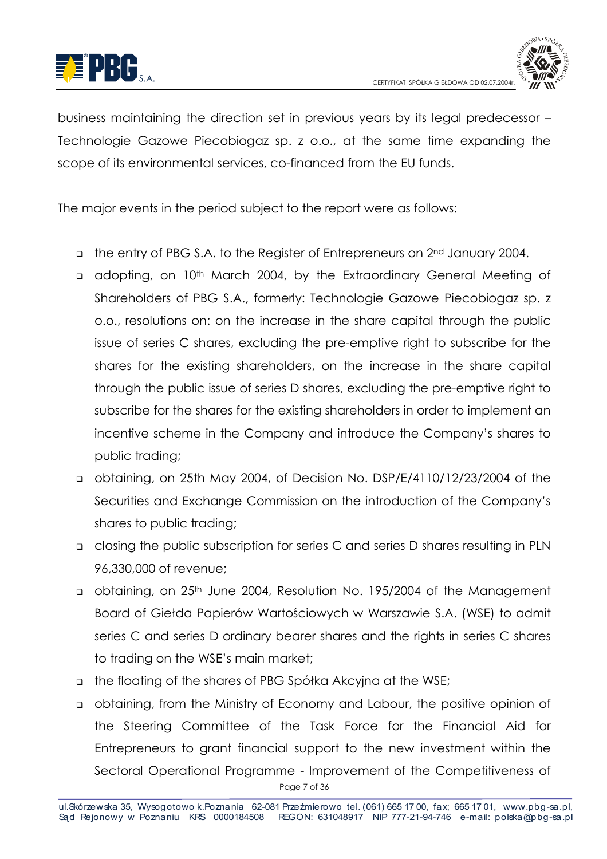



business maintaining the direction set in previous years by its legal predecessor -Technologie Gazowe Piecobiogaz sp. z o.o., at the same time expanding the scope of its environmental services, co-financed from the EU funds.

The major events in the period subject to the report were as follows:

- the entry of PBG S.A. to the Register of Entrepreneurs on 2<sup>nd</sup> January 2004.
- a adopting, on 10<sup>th</sup> March 2004, by the Extraordinary General Meeting of Shareholders of PBG S.A., formerly: Technologie Gazowe Piecobiogaz sp. z o.o., resolutions on: on the increase in the share capital through the public issue of series C shares, excluding the pre-emptive right to subscribe for the shares for the existing shareholders, on the increase in the share capital through the public issue of series D shares, excluding the pre-emptive right to subscribe for the shares for the existing shareholders in order to implement an incentive scheme in the Company and introduce the Company's shares to public trading;
- obtaining, on 25th May 2004, of Decision No. DSP/E/4110/12/23/2004 of the Securities and Exchange Commission on the introduction of the Company's shares to public trading;
- a closing the public subscription for series C and series D shares resulting in PLN 96,330,000 of revenue;
- obtaining, on 25<sup>th</sup> June 2004, Resolution No. 195/2004 of the Management Board of Giełda Papierów Wartościowych w Warszawie S.A. (WSE) to admit series C and series D ordinary bearer shares and the rights in series C shares to trading on the WSE's main market;
- a the floating of the shares of PBG Spółka Akcyjna at the WSE;
- obtaining, from the Ministry of Economy and Labour, the positive opinion of the Steering Committee of the Task Force for the Financial Aid for Entrepreneurs to grant financial support to the new investment within the Sectoral Operational Programme - Improvement of the Competitiveness of Page 7 of 36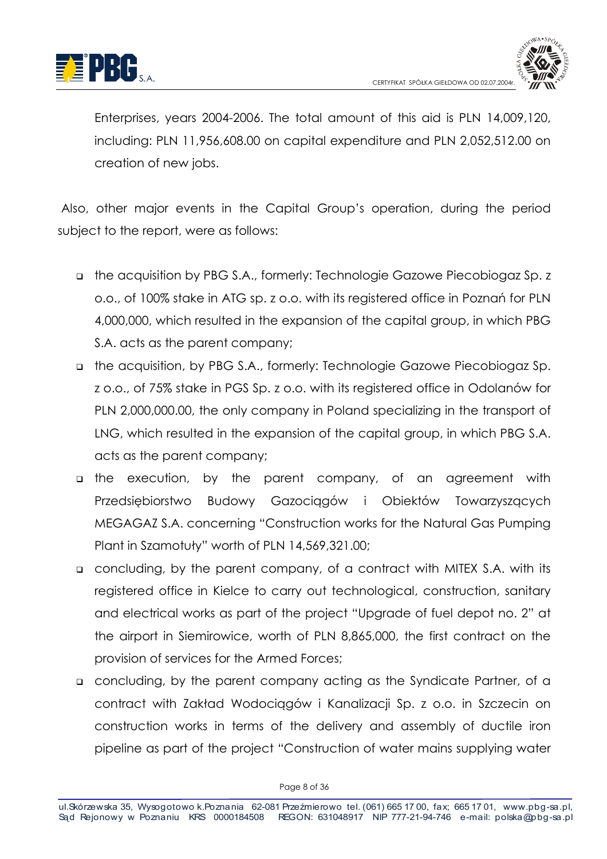



Enterprises, years 2004-2006. The total amount of this aid is PLN 14,009,120, including: PLN 11.956.608.00 on capital expenditure and PLN 2.052.512.00 on creation of new jobs.

Also, other major events in the Capital Group's operation, during the period subject to the report, were as follows:

- The acquisition by PBG S.A., formerly: Technologie Gazowe Piecobiogaz Sp. z o.o., of 100% stake in ATG sp. z o.o. with its reaistered office in Poznań for PLN 4,000,000, which resulted in the expansion of the capital group, in which PBG S.A. acts as the parent company:
- the acquisition, by PBG S.A., formerly: Technologie Gazowe Piecobiogaz Sp. z o.o., of 75% stake in PGS Sp. z o.o. with its registered office in Odolanów for PLN 2,000,000.00, the only company in Poland specializing in the transport of LNG, which resulted in the expansion of the capital group, in which PBG S.A. acts as the parent company;
- a the execution, by the parent company, of an agreement with Budowy Gazociągów i Obiektów Towarzyszących Przedsiebiorstwo MEGAGAZ S.A. concerning "Construction works for the Natural Gas Pumping Plant in Szamotuły" worth of PLN 14,569,321.00;
- a concluding, by the parent company, of a contract with MITEX S.A. with its registered office in Kielce to carry out technological, construction, sanitary and electrical works as part of the project "Upgrade of fuel depot no. 2" at the airport in Siemirowice, worth of PLN 8,865,000, the first contract on the provision of services for the Armed Forces:
- a concluding, by the parent company acting as the Syndicate Partner, of a contract with Zakład Wodociągów i Kanalizacji Sp. z o.o. in Szczecin on construction works in terms of the delivery and assembly of ductile iron pipeline as part of the project "Construction of water mains supplying water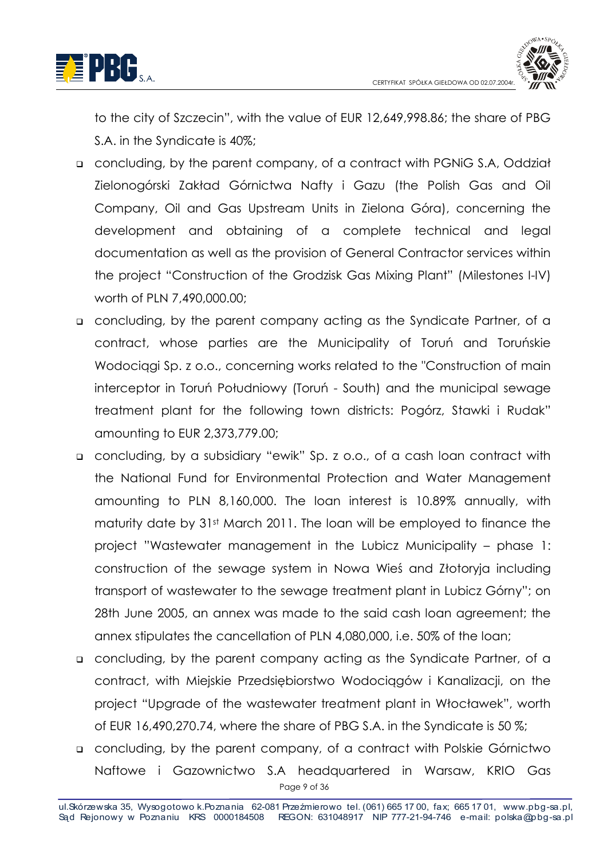



to the city of Szczecin", with the value of EUR 12,649,998.86; the share of PBG S.A. in the Syndicate is 40%:

- a concluding, by the parent company, of a contract with PGNiG S.A, Oddział Zielonogórski Zakład Górnictwa Nafty i Gazu (the Polish Gas and Oil Company, Oil and Gas Upstream Units in Zielona Góra), concerning the development and obtaining of a complete technical and legal documentation as well as the provision of General Contractor services within the project "Construction of the Grodzisk Gas Mixing Plant" (Milestones I-IV) worth of PLN 7,490,000.00:
- a concluding, by the parent company acting as the Syndicate Partner, of a contract, whose parties are the Municipality of Toruń and Toruńskie Wodociagi Sp. z o.o., concerning works related to the "Construction of main interceptor in Toruń Południowy (Toruń - South) and the municipal sewage treatment plant for the following town districts: Pogórz, Stawki i Rudak" amounting to EUR 2,373,779.00;
- a concluding, by a subsidiary "ewik" Sp. z o.o., of a cash loan contract with the National Fund for Environmental Protection and Water Management amounting to PLN 8,160,000. The loan interest is 10.89% annually, with maturity date by 31st March 2011. The loan will be employed to finance the project "Wastewater management in the Lubicz Municipality - phase 1: construction of the sewage system in Nowa Wies and Złotoryja including transport of wastewater to the sewage treatment plant in Lubicz Górny"; on 28th June 2005, an annex was made to the said cash loan agreement; the annex stipulates the cancellation of PLN 4,080,000, i.e. 50% of the loan;
- a concluding, by the parent company acting as the Syndicate Partner, of a contract, with Miejskie Przedsiębiorstwo Wodociągów i Kanalizacji, on the project "Upgrade of the wastewater treatment plant in Włocławek", worth of EUR 16,490,270.74, where the share of PBG S.A. in the Syndicate is 50 %;
- a concluding, by the parent company, of a contract with Polskie Górnictwo Naftowe i Gazownictwo S.A headquartered in Warsaw, KRIO Gas Page 9 of 36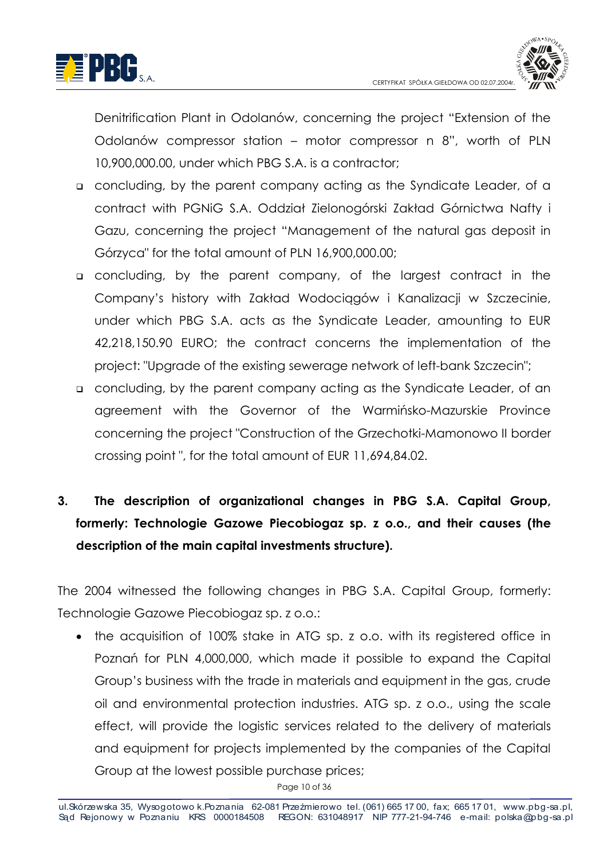



Denitrification Plant in Odolanów, concerning the project "Extension of the Odolanów compressor station – motor compressor n 8", worth of PLN 10,900,000,00, under which PBG S.A. is a contractor:

- a concluding, by the parent company acting as the Syndicate Leader, of a contract with PGNiG S.A. Oddział Zielonogórski Zakład Górnictwa Nafty i Gazu, concerning the project "Management of the natural gas deposit in Górzyca" for the total amount of PLN 16,900,000.00;
- a concluding, by the parent company, of the largest contract in the Company's history with Zakład Wodociągów i Kanalizacji w Szczecinie, under which PBG S.A. acts as the Syndicate Leader, amounting to EUR 42,218,150.90 EURO; the contract concerns the implementation of the project: "Upgrade of the existing sewerage network of left-bank Szczecin";
- a concluding, by the parent company acting as the Syndicate Leader, of an agreement with the Governor of the Warmińsko-Mazurskie Province concerning the project "Construction of the Grzechotki-Mamonowo II border crossing point", for the total amount of EUR 11,694,84.02.
- $3<sub>l</sub>$ The description of organizational changes in PBG S.A. Capital Group, formerly: Technologie Gazowe Piecobiogaz sp. z o.o., and their causes (the description of the main capital investments structure).

The 2004 witnessed the following changes in PBG S.A. Capital Group, formerly: Technologie Gazowe Piecobiogaz sp. z o.o.:

• the acquisition of 100% stake in ATG sp. z o.o. with its registered office in Poznań for PLN 4,000,000, which made it possible to expand the Capital Group's business with the trade in materials and equipment in the gas, crude oil and environmental protection industries. ATG sp. z o.o., using the scale effect, will provide the logistic services related to the delivery of materials and equipment for projects implemented by the companies of the Capital Group at the lowest possible purchase prices;

Page 10 of 36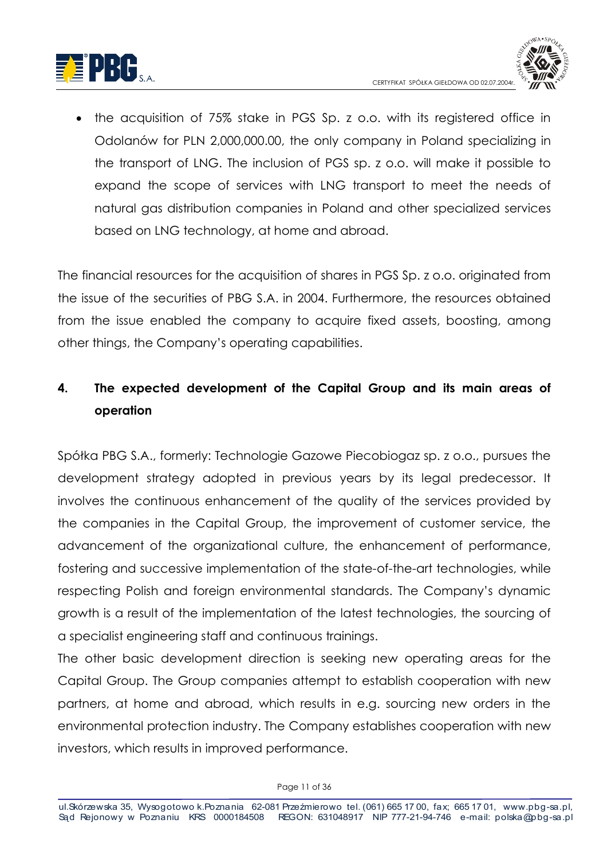



the acquisition of 75% stake in PGS Sp. z o.o. with its registered office in Odolanów for PLN 2.000.000.00, the only company in Poland specializing in the transport of LNG. The inclusion of PGS sp. z o.o. will make it possible to expand the scope of services with LNG transport to meet the needs of natural gas distribution companies in Poland and other specialized services based on LNG technology, at home and abroad.

The financial resources for the acquisition of shares in PGS Sp. z o.o. originated from the issue of the securities of PBG S.A. in 2004. Furthermore, the resources obtained from the issue enabled the company to acquire fixed assets, boosting, among other things, the Company's operating capabilities.

#### $\mathbf{A}$ The expected development of the Capital Group and its main areas of operation

Spółka PBG S.A., formerly: Technologie Gazowe Piecobiogaz sp. z o.o., pursues the development strategy adopted in previous years by its legal predecessor. It involves the continuous enhancement of the quality of the services provided by the companies in the Capital Group, the improvement of customer service, the advancement of the organizational culture, the enhancement of performance, fostering and successive implementation of the state-of-the-art technologies, while respecting Polish and foreign environmental standards. The Company's dynamic growth is a result of the implementation of the latest technologies, the sourcing of a specialist engineering staff and continuous trainings.

The other basic development direction is seeking new operating areas for the Capital Group. The Group companies attempt to establish cooperation with new partners, at home and abroad, which results in e.g. sourcing new orders in the environmental protection industry. The Company establishes cooperation with new investors, which results in improved performance.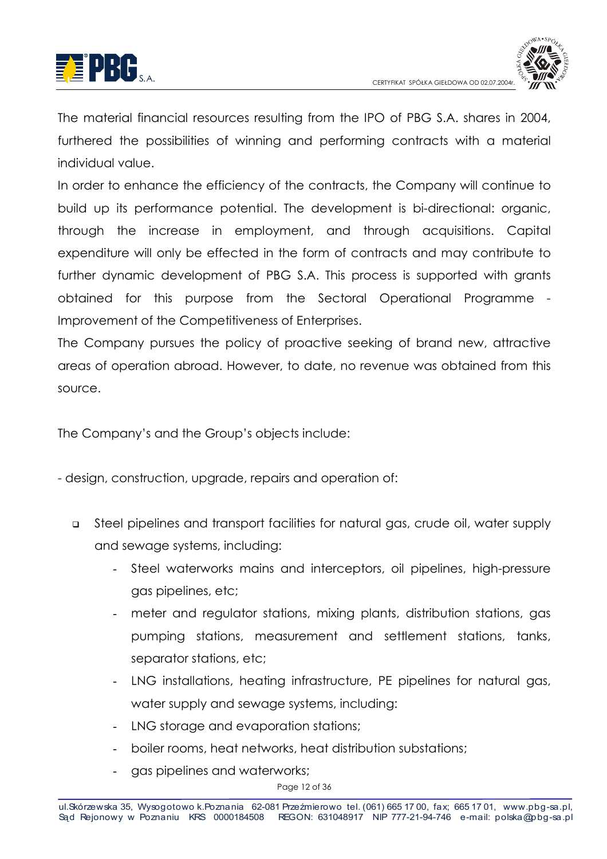



The material financial resources resulting from the IPO of PBG S.A. shares in 2004, furthered the possibilities of winning and performing contracts with a material individual value.

In order to enhance the efficiency of the contracts, the Company will continue to build up its performance potential. The development is bi-directional: organic, through the increase in employment, and through acquisitions. Capital expenditure will only be effected in the form of contracts and may contribute to further dynamic development of PBG S.A. This process is supported with grants obtained for this purpose from the Sectoral Operational Programme -Improvement of the Competitiveness of Enterprises.

The Company pursues the policy of proactive seeking of brand new, attractive areas of operation abroad. However, to date, no revenue was obtained from this source.

The Company's and the Group's objects include:

- design, construction, upgrade, repairs and operation of:

- Steel pipelines and transport facilities for natural gas, crude oil, water supply  $\Box$ and sewage systems, including:
	- Steel waterworks mains and interceptors, oil pipelines, high-pressure gas pipelines, etc;
	- meter and regulator stations, mixing plants, distribution stations, gas pumping stations, measurement and settlement stations, tanks, separator stations, etc:
	- LNG installations, heating infrastructure, PE pipelines for natural gas, water supply and sewage systems, including:
	- LNG storage and evaporation stations;
	- boiler rooms, heat networks, heat distribution substations:
	- gas pipelines and waterworks;

Page 12 of 36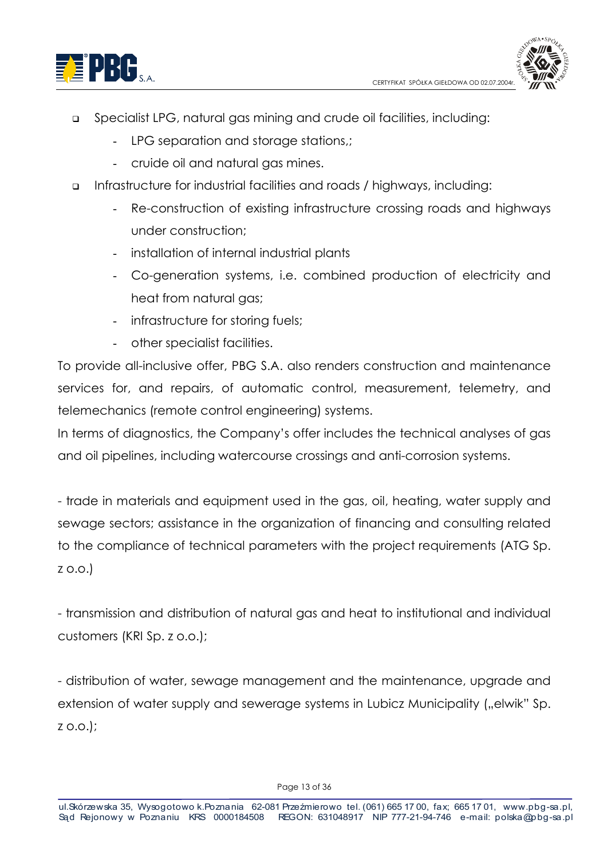



- Specialist LPG, natural gas mining and crude oil facilities, including:  $\Box$ 
	- LPG separation and storage stations.:
	- cruide oil and natural gas mines.
- Infrastructure for industrial facilities and roads / highways, including:  $\Box$ 
	- Re-construction of existing infrastructure crossing roads and highways  $\mathcal{L}^{\pm}$ under construction:
	- installation of internal industrial plants
	- Co-generation systems, i.e. combined production of electricity and heat from natural aas:
	- infrastructure for storing fuels;
	- other specialist facilities.

To provide all-inclusive offer, PBG S.A. also renders construction and maintenance services for, and repairs, of automatic control, measurement, telemetry, and telemechanics (remote control engineering) systems.

In terms of diagnostics, the Company's offer includes the technical analyses of gas and oil pipelines, including watercourse crossings and anti-corrosion systems.

- trade in materials and eauipment used in the aas, oil, heating, water supply and sewage sectors; assistance in the organization of financing and consulting related to the compliance of technical parameters with the project requirements (ATG Sp.  $Z$  O.O.

- transmission and distribution of natural gas and heat to institutional and individual customers (KRI Sp. z o.o.);

- distribution of water, sewage management and the maintenance, upgrade and extension of water supply and sewerage systems in Lubicz Municipality ("elwik" Sp.  $Z$  O.O.):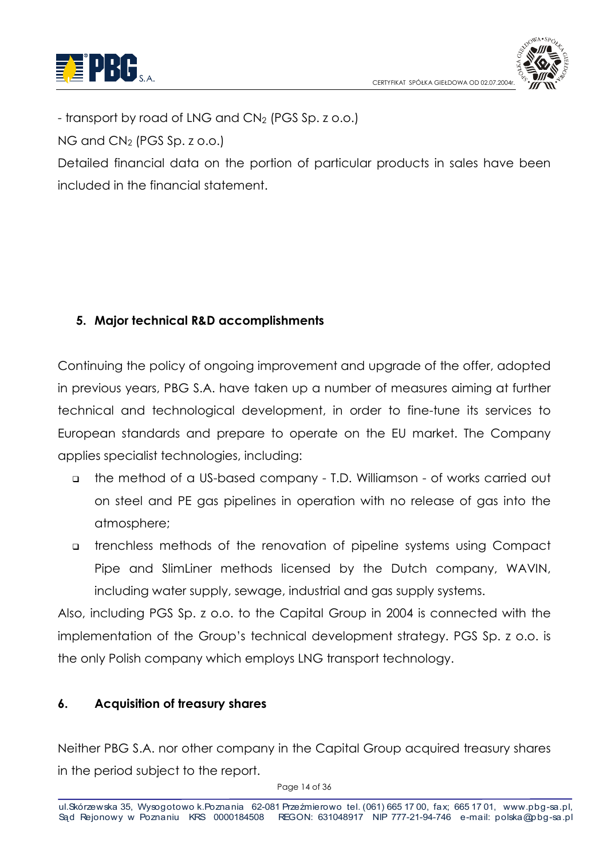



- transport by road of LNG and CN<sub>2</sub> (PGS Sp. z o.o.)

NG and CN<sub>2</sub> (PGS Sp. z o.o.)

Detailed financial data on the portion of particular products in sales have been included in the financial statement

# 5. Major technical R&D accomplishments

Continuing the policy of ongoing improvement and upgrade of the offer, adopted in previous years, PBG S.A. have taken up a number of measures aiming at further technical and technological development, in order to fine-tune its services to European standards and prepare to operate on the EU market. The Company applies specialist technologies, including:

- the method of a US-based company T.D. Williamson of works carried out on steel and PE gas pipelines in operation with no release of gas into the atmosphere;
- a trenchless methods of the renovation of pipeline systems using Compact Pipe and SlimLiner methods licensed by the Dutch company, WAVIN, including water supply, sewage, industrial and gas supply systems.

Also, including PGS Sp. z o.o. to the Capital Group in 2004 is connected with the implementation of the Group's technical development strategy. PGS Sp. z o.o. is the only Polish company which employs LNG transport technology.

#### **Acquisition of treasury shares**  $\mathbf{6}$ .

Neither PBG S.A. nor other company in the Capital Group acquired treasury shares in the period subject to the report.

Page 14 of 36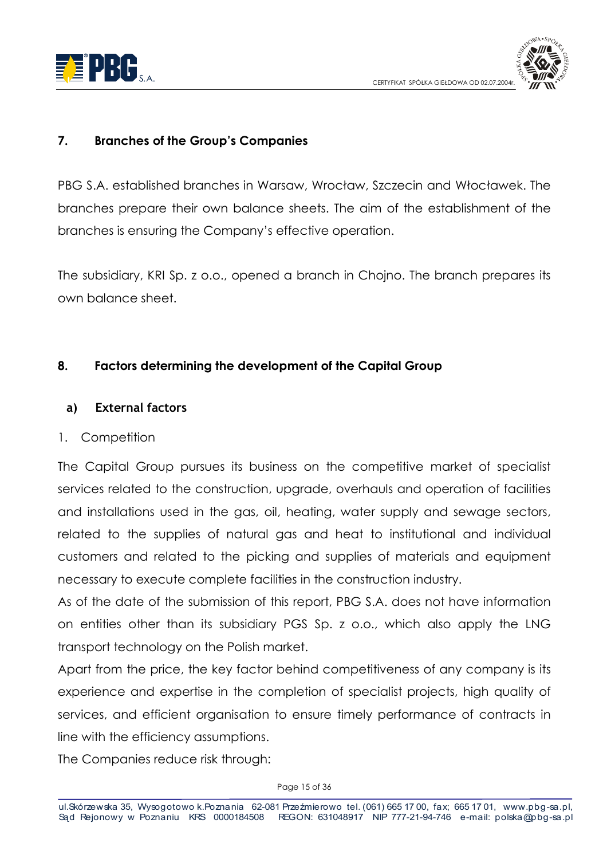



#### $\overline{7}$ . **Branches of the Group's Companies**

PBG S.A. established branches in Warsaw. Wrocław. Szczecin and Włocławek. The branches prepare their own balance sheets. The aim of the establishment of the branches is ensuring the Company's effective operation.

The subsidiary, KRI Sp. z o.o., opened a branch in Chojno. The branch prepares its own balance sheet.

#### 8. **Factors determining the development of the Capital Group**

#### **External factors** a)

#### 1. Competition

The Capital Group pursues its business on the competitive market of specialist services related to the construction, uparade, overhauls and operation of facilities and installations used in the gas, oil, heating, water supply and sewage sectors, related to the supplies of natural gas and heat to institutional and individual customers and related to the picking and supplies of materials and equipment necessary to execute complete facilities in the construction industry.

As of the date of the submission of this report, PBG S.A. does not have information on entities other than its subsidiary PGS Sp. z o.o., which also apply the LNG transport technology on the Polish market.

Apart from the price, the key factor behind competitiveness of any company is its experience and expertise in the completion of specialist projects, high quality of services, and efficient organisation to ensure timely performance of contracts in line with the efficiency assumptions.

The Companies reduce risk through: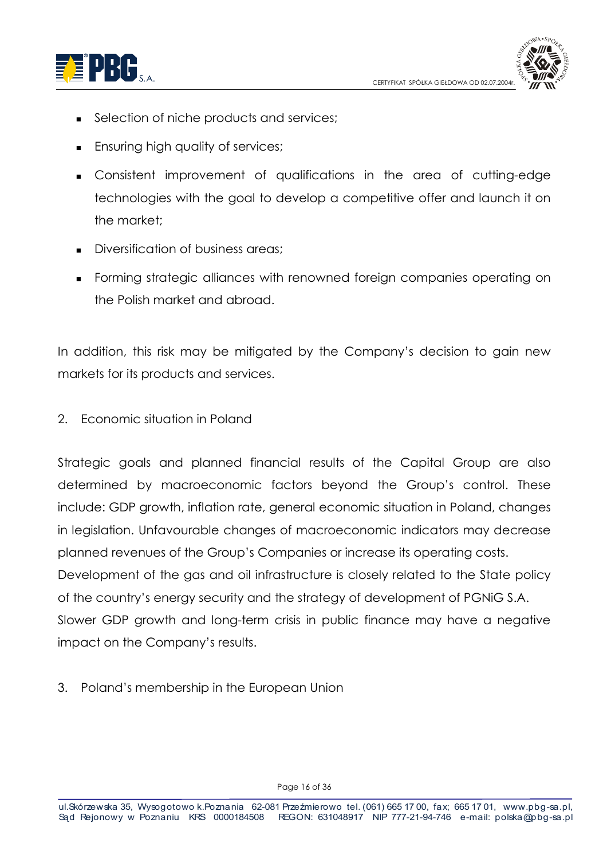



- Selection of niche products and services;  $\blacksquare$
- **Ensuring high quality of services;**
- Consistent improvement of qualifications in the area of cutting-edge technologies with the goal to develop a competitive offer and launch it on the market:
- Diversification of business areas:
- Forming strategic alliances with renowned foreign companies operating on the Polish market and abroad.

In addition, this risk may be mitigated by the Company's decision to gain new markets for its products and services.

2. Economic situation in Poland

Strategic goals and planned financial results of the Capital Group are also determined by macroeconomic factors beyond the Group's control. These include: GDP growth, inflation rate, general economic situation in Poland, changes in legislation. Unfavourable changes of macroeconomic indicators may decrease planned revenues of the Group's Companies or increase its operating costs. Development of the gas and oil infrastructure is closely related to the State policy of the country's energy security and the strategy of development of PGNIG S.A. Slower GDP growth and long-term crisis in public finance may have a negative impact on the Company's results.

3. Poland's membership in the European Union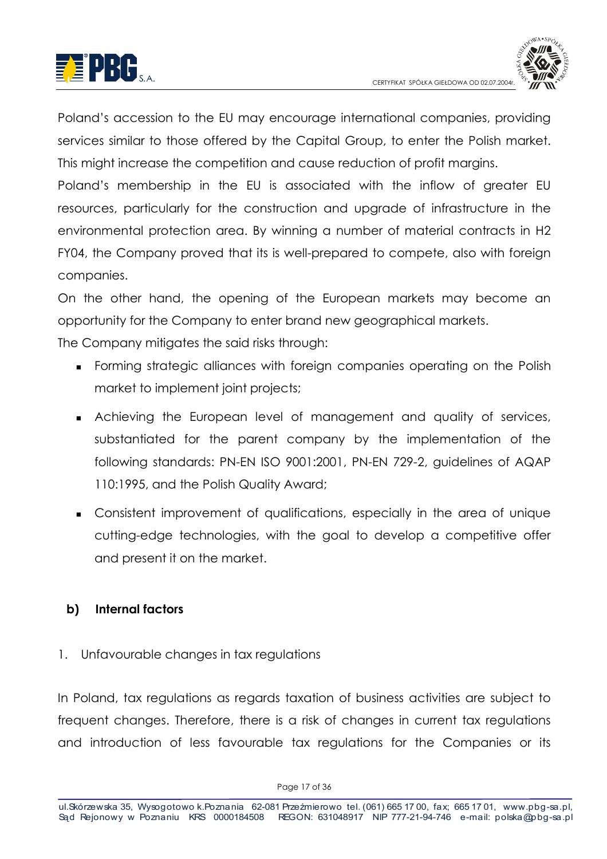



Poland's accession to the EU may encourage international companies, providing services similar to those offered by the Capital Group, to enter the Polish market. This might increase the competition and cause reduction of profit margins.

Poland's membership in the EU is associated with the inflow of greater EU resources, particularly for the construction and upgrade of infrastructure in the environmental protection area. By winning a number of material contracts in H2 FY04, the Company proved that its is well-prepared to compete, also with foreign companies.

On the other hand, the opening of the European markets may become an opportunity for the Company to enter brand new geographical markets.

The Company mitigates the said risks through:

- Forming strategic alliances with foreign companies operating on the Polish market to implement joint projects;
- Achieving the European level of management and quality of services, substantiated for the parent company by the implementation of the following standards: PN-EN ISO 9001:2001, PN-EN 729-2, guidelines of AQAP 110:1995, and the Polish Quality Award;
- Consistent improvement of aualifications, especially in the area of unique cutting-edge technologies, with the goal to develop a competitive offer and present it on the market.

#### Internal factors b)

## 1. Unfavourable changes in tax regulations

In Poland, tax regulations as regards taxation of business activities are subject to frequent changes. Therefore, there is a risk of changes in current tax reaulations and introduction of less favourable tax regulations for the Companies or its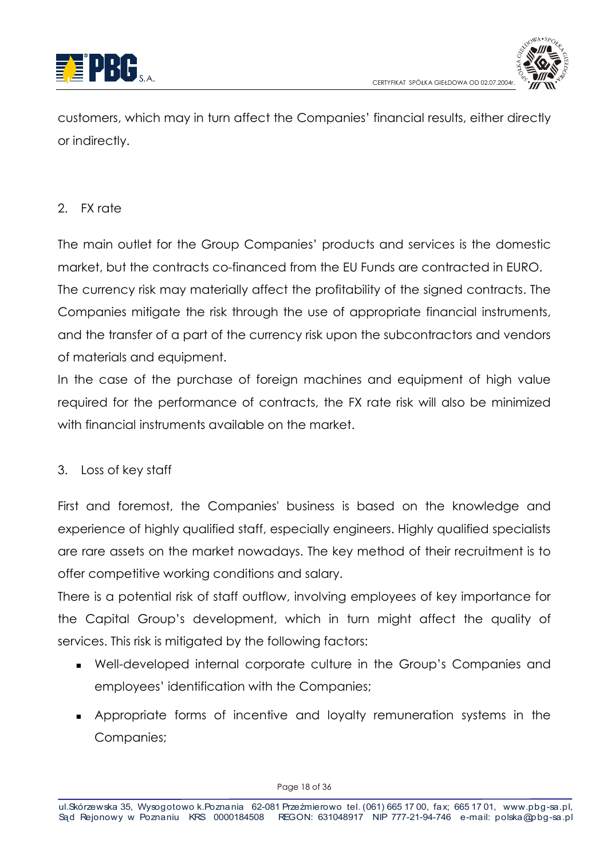



customers, which may in turn affect the Companies' financial results, either directly or indirectly.

## 2. EX rate

The main outlet for the Group Companies' products and services is the domestic market, but the contracts co-financed from the EU Funds are contracted in EURO. The currency risk may materially affect the profitability of the signed contracts. The Companies mitigate the risk through the use of appropriate financial instruments, and the transfer of a part of the currency risk upon the subcontractors and vendors of materials and equipment.

In the case of the purchase of foreign machines and equipment of high value required for the performance of contracts, the FX rate risk will also be minimized with financial instruments available on the market.

## 3. Loss of key staff

First and foremost, the Companies' business is based on the knowledge and experience of highly qualified staff, especially engineers. Highly qualified specialists are rare assets on the market nowadays. The key method of their recruitment is to offer competitive working conditions and salary.

There is a potential risk of staff outflow, involving employees of key importance for the Capital Group's development, which in turn might affect the quality of services. This risk is mitigated by the following factors:

- Well-developed internal corporate culture in the Group's Companies and employees' identification with the Companies:
- Appropriate forms of incentive and loyalty remuneration systems in the Companies;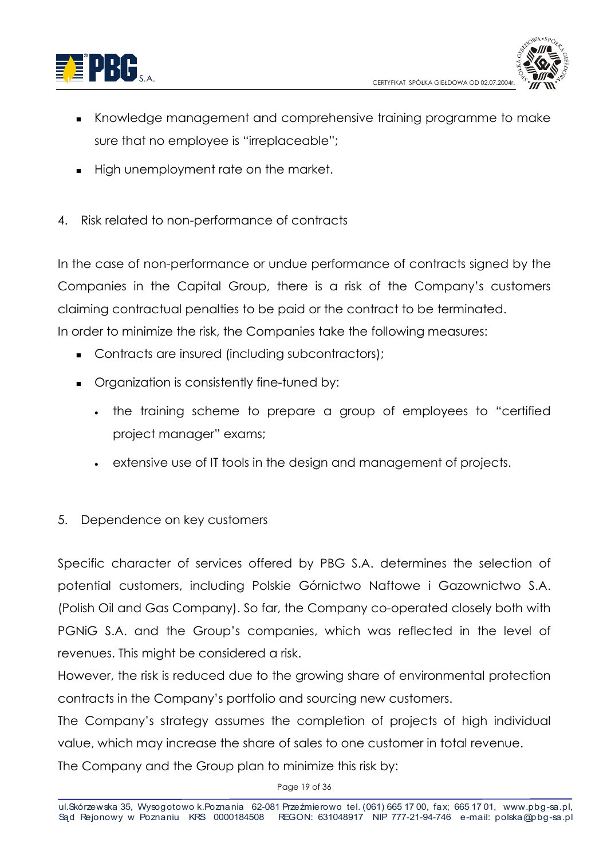



- Knowledge management and comprehensive training programme to make sure that no employee is "irreplaceable";
- High unemployment rate on the market.
- 4. Risk related to non-performance of contracts

In the case of non-performance or undue performance of contracts signed by the Companies in the Capital Group, there is a risk of the Company's customers claiming contractual penalties to be paid or the contract to be terminated. In order to minimize the risk, the Companies take the following measures:

- Contracts are insured (including subcontractors);
- Organization is consistently fine-tuned by:
	- the training scheme to prepare a group of employees to "certified project manager" exams;
	- extensive use of IT tools in the design and management of projects.
- 5. Dependence on key customers

Specific character of services offered by PBG S.A. determines the selection of potential customers, including Polskie Górnictwo Naftowe i Gazownictwo S.A. (Polish Oil and Gas Company). So far, the Company co-operated closely both with PGNIG S.A. and the Group's companies, which was reflected in the level of revenues. This might be considered a risk.

However, the risk is reduced due to the arowing share of environmental protection contracts in the Company's portfolio and sourcing new customers.

The Company's strateay assumes the completion of projects of high individual value, which may increase the share of sales to one customer in total revenue. The Company and the Group plan to minimize this risk by:

Page 19 of 36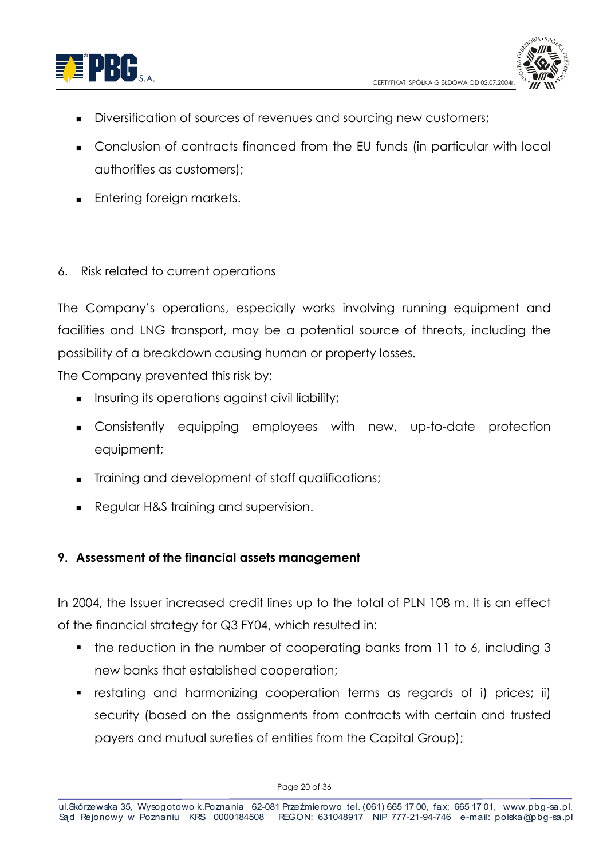



- Diversification of sources of revenues and sourcing new customers;
- Conclusion of contracts financed from the EU funds (in particular with local authorities as customers);
- **Entering foreign markets.**
- 6. Risk related to current operations

The Company's operations, especially works involving running equipment and facilities and LNG transport, may be a potential source of threats, including the possibility of a breakdown causing human or property losses.

The Company prevented this risk by:

- Insuring its operations against civil liability;
- Consistently equipping employees with new, up-to-date protection equipment;
- Training and development of staff qualifications;
- Regular H&S training and supervision.

## 9. Assessment of the financial assets management

In 2004, the Issuer increased credit lines up to the total of PLN 108 m. It is an effect of the financial strategy for Q3 FY04, which resulted in:

- the reduction in the number of cooperating banks from 11 to 6, including 3 new banks that established cooperation;
- restating and harmonizing cooperation terms as regards of i) prices; ii)  $\mathbf{m}$  . security (based on the assignments from contracts with certain and trusted payers and mutual sureties of entities from the Capital Group);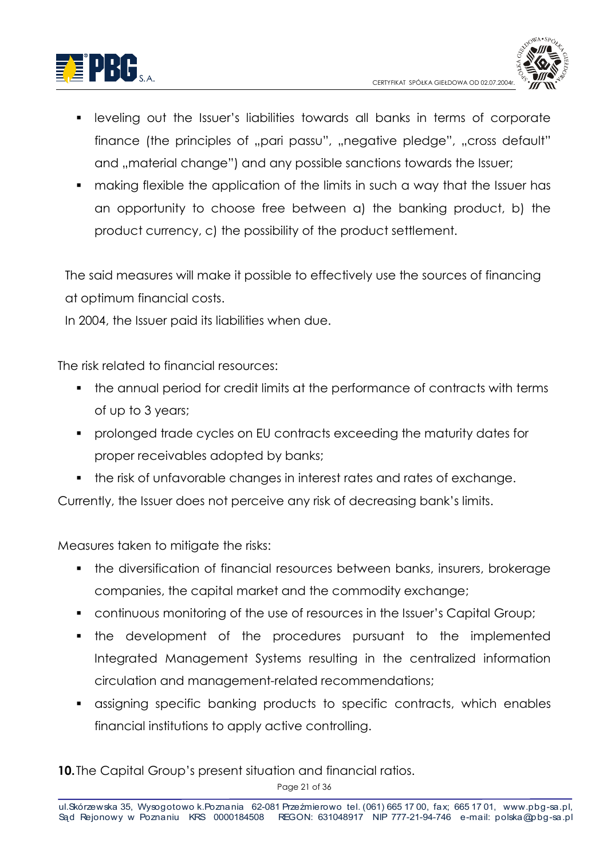



- leveling out the Issuer's liabilities towards all banks in terms of corporate finance (the principles of "pari passu", "negative pledge", "cross default" and "material change") and any possible sanctions towards the Issuer;
- making flexible the application of the limits in such a way that the Issuer has an opportunity to choose free between a) the banking product, b) the product currency, c) the possibility of the product settlement.

The said measures will make it possible to effectively use the sources of financing at optimum financial costs.

In 2004, the Issuer paid its liabilities when due.

The risk related to financial resources:

- the annual period for credit limits at the performance of contracts with terms of up to 3 years;
- prolonged trade cycles on EU contracts exceeding the maturity dates for proper receivables adopted by banks;
- the risk of unfavorable changes in interest rates and rates of exchange.

Currently, the Issuer does not perceive any risk of decreasing bank's limits.

Measures taken to mitiaate the risks:

- the diversification of financial resources between banks, insurers, brokerage companies, the capital market and the commodity exchange;
- continuous monitoring of the use of resources in the Issuer's Capital Group;
- the development of the procedures pursuant to the implemented Integrated Management Systems resulting in the centralized information circulation and management-related recommendations;
- assigning specific banking products to specific contracts, which enables financial institutions to apply active controlling.

10. The Capital Group's present situation and financial ratios.

Page 21 of 36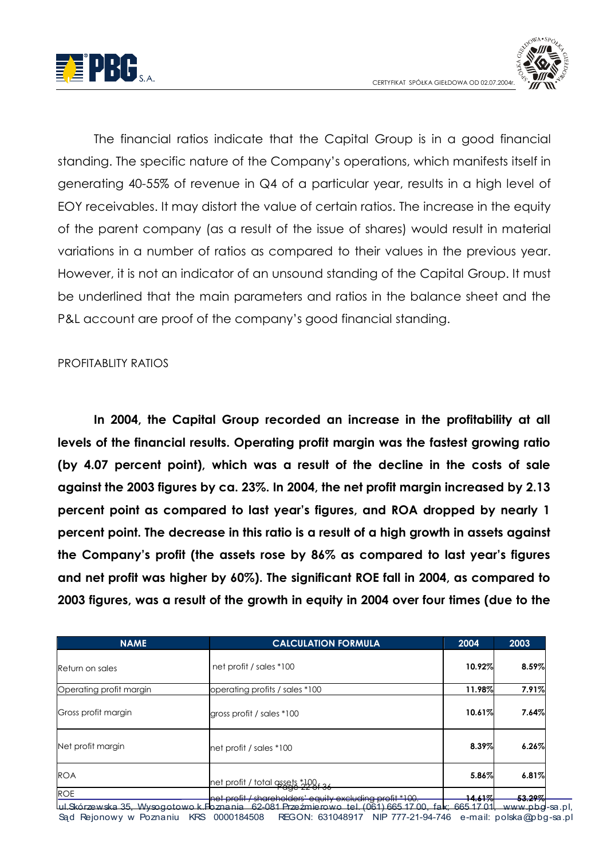



The financial ratios indicate that the Capital Group is in a good financial standing. The specific nature of the Company's operations, which manifests itself in generating 40-55% of revenue in Q4 of a particular year, results in a high level of EOY receivables. It may distort the value of certain ratios. The increase in the equity of the parent company (as a result of the issue of shares) would result in material variations in a number of ratios as compared to their values in the previous year. However, it is not an indicator of an unsound standing of the Capital Group. It must be underlined that the main parameters and ratios in the balance sheet and the P&L account are proof of the company's good financial standing.

#### **PROFITABLITY RATIOS**

In 2004, the Capital Group recorded an increase in the profitability at all levels of the financial results. Operating profit margin was the fastest growing ratio (by 4.07 percent point), which was a result of the decline in the costs of sale against the 2003 figures by ca. 23%. In 2004, the net profit margin increased by 2.13 percent point as compared to last year's figures, and ROA dropped by nearly 1 percent point. The decrease in this ratio is a result of a high growth in assets against the Company's profit (the assets rose by 86% as compared to last year's figures and net profit was higher by 60%). The significant ROE fall in 2004, as compared to 2003 figures, was a result of the growth in equity in 2004 over four times (due to the

| <b>NAME</b>             | <b>CALCULATION FORMULA</b>                               | 2004                                              | 2003                                                          |
|-------------------------|----------------------------------------------------------|---------------------------------------------------|---------------------------------------------------------------|
| Return on sales         | net profit / sales *100                                  | 10.92%                                            | 8.59%                                                         |
| Operating profit margin | operating profits / sales *100                           | 11.98%                                            | 7.91%                                                         |
| Gross profit margin     | gross profit / sales *100                                | 10.61%                                            | 7.64%                                                         |
| Net profit margin       | net profit / sales *100                                  | 8.39%                                             | 6.26%                                                         |
| <b>ROA</b>              | net profit / total assets *100f 36                       | 5.86%                                             | 6.81%                                                         |
| <b>ROE</b>              | net profit / shareholders' equity excluding profit *100. | 144107<br>$T_{\rm{1.0}}$ $T_{\rm{2}}$<br>CCTA ZDA | <u> 2.2007</u><br><del>JJ.Z77</del><br>ساط ساده به دوره در در |

.pbg-sa.pl. Sąd Rejonowy w Poznaniu KRS 0000184508 REGON: 631048917 NIP 777-21-94-746 e-mail: polska@pbg-sa.pl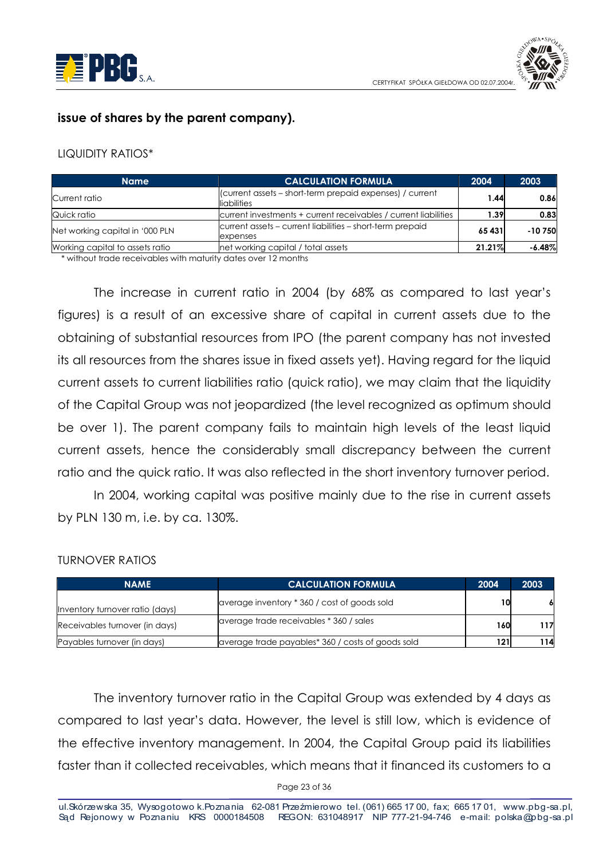



#### issue of shares by the parent company).

#### **LIQUIDITY RATIOS\***

| <b>Name</b>                     | <b>CALCULATION FORMULA</b>                                              | 2004   | 2003     |
|---------------------------------|-------------------------------------------------------------------------|--------|----------|
| Current ratio                   | (current assets - short-term prepaid expenses) / current<br>liabilities | 1.44   | 0.86     |
| Quick ratio                     | current investments + current receivables / current liabilities         | 1.391  | 0.83     |
| Net working capital in '000 PLN | current assets – current liabilities – short-term prepaid<br>expenses   | 65 431 | $-10750$ |
| Working capital to assets ratio | net working capital / total assets                                      | 21.21% | $-6.48%$ |

\* without trade receivables with maturity dates over 12 months

The increase in current ratio in 2004 (by 68% as compared to last year's figures) is a result of an excessive share of capital in current assets due to the obtaining of substantial resources from IPO (the parent company has not invested its all resources from the shares issue in fixed assets yet). Having regard for the liquid current assets to current liabilities ratio (quick ratio), we may claim that the liquidity of the Capital Group was not jeopardized (the level recognized as optimum should be over 1). The parent company fails to maintain high levels of the least liquid current assets, hence the considerably small discrepancy between the current ratio and the quick ratio. It was also reflected in the short inventory turnover period.

In 2004, working capital was positive mainly due to the rise in current assets by PLN 130 m, i.e. by ca. 130%.

#### **TURNOVER RATIOS**

| <b>NAME</b>                     | <b>CALCULATION FORMULA</b>                        | 2004 | 2003 |
|---------------------------------|---------------------------------------------------|------|------|
| Inventory turnover ratio (days) | average inventory * 360 / cost of goods sold      | 10   |      |
| Receivables turnover (in days)  | average trade receivables * 360 / sales           | 160  | 117  |
| Payables turnover (in days)     | average trade payables* 360 / costs of goods sold | 121  | 1141 |

The inventory turnover ratio in the Capital Group was extended by 4 days as compared to last year's data. However, the level is still low, which is evidence of the effective inventory management. In 2004, the Capital Group paid its liabilities faster than it collected receivables, which means that it financed its customers to a

Page 23 of 36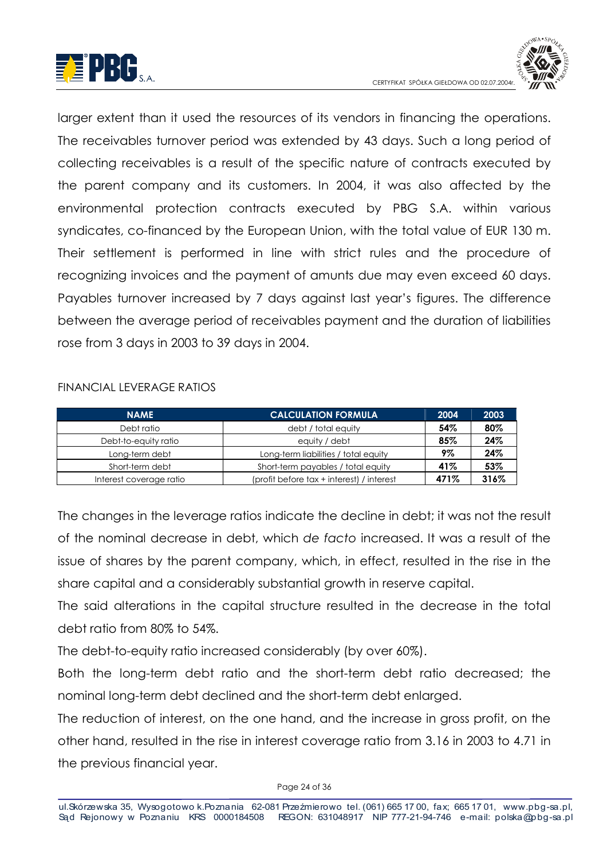



larger extent than it used the resources of its vendors in financing the operations. The receivables turnover period was extended by 43 days. Such a long period of collecting receivables is a result of the specific nature of contracts executed by the parent company and its customers. In 2004, it was also affected by the environmental protection contracts executed by PBG S.A. within various syndicates, co-financed by the European Union, with the total value of EUR 130 m. Their settlement is performed in line with strict rules and the procedure of recognizing invoices and the payment of amunts due may even exceed 60 days. Payables turnover increased by 7 days against last year's figures. The difference between the average period of receivables payment and the duration of liabilities rose from 3 days in 2003 to 39 days in 2004.

#### FINANCIAL LEVERAGE RATIOS

| <b>CALCULATION FORMULA</b><br><b>NAME</b> |                                           | 2004 | 2003 |
|-------------------------------------------|-------------------------------------------|------|------|
| Debt ratio                                | debt / total equity                       | 54%  | 80%  |
| Debt-to-equity ratio                      | equity / debt                             | 85%  | 24%  |
| Long-term debt                            | Long-term liabilities / total equity      | 9%   | 24%  |
| Short-term debt                           | Short-term payables / total equity        | 41%  | 53%  |
| Interest coverage ratio                   | (profit before tax + interest) / interest | 471% | 316% |

The changes in the leverage ratios indicate the decline in debt; it was not the result of the nominal decrease in debt, which de facto increased. It was a result of the issue of shares by the parent company, which, in effect, resulted in the rise in the share capital and a considerably substantial growth in reserve capital.

The said alterations in the capital structure resulted in the decrease in the total debt ratio from 80% to 54%.

The debt-to-equity ratio increased considerably (by over 60%).

Both the long-term debt ratio and the short-term debt ratio decreased; the nominal long-term debt declined and the short-term debt enlarged.

The reduction of interest, on the one hand, and the increase in gross profit, on the other hand, resulted in the rise in interest coverage ratio from 3.16 in 2003 to 4.71 in the previous financial year.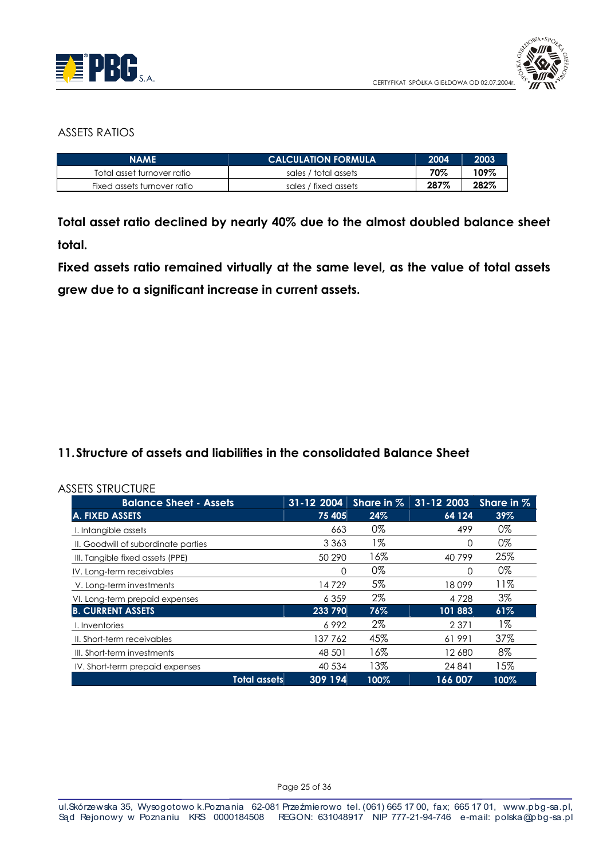



#### **ASSETS RATIOS**

| <b>NAME</b>                 | <b>CALCULATION FORMULA</b> | 2004 | 2003 |
|-----------------------------|----------------------------|------|------|
| Total asset turnover ratio  | sales / total assets       | 70%  | 109% |
| Fixed assets turnover ratio | sales / fixed assets       | 287% | 282% |

Total asset ratio declined by nearly 40% due to the almost doubled balance sheet total.

Fixed assets ratio remained virtually at the same level, as the value of total assets grew due to a significant increase in current assets.

#### 11. Structure of assets and liabilities in the consolidated Balance Sheet

| <b>Balance Sheet - Assets</b>       | 31-12 2004          |         | Share in $%$ | 31-12 2003 | Share in $%$ |
|-------------------------------------|---------------------|---------|--------------|------------|--------------|
| A. FIXED ASSETS                     |                     | 75 405  | 24%          | 64 124     | 39%          |
| I. Intangible assets                |                     | 663     | 0%           | 499        | 0%           |
| II. Goodwill of subordinate parties |                     | 3 3 6 3 | 1%           | 0          | 0%           |
| III. Tangible fixed assets (PPE)    |                     | 50 290  | 16%          | 40799      | 25%          |
| IV. Long-term receivables           |                     | 0       | 0%           | 0          | 0%           |
| V. Long-term investments            |                     | 14729   | 5%           | 18099      | 11%          |
| VI. Long-term prepaid expenses      |                     | 6 3 5 9 | 2%           | 4 7 2 8    | 3%           |
| <b>B. CURRENT ASSETS</b>            |                     | 233 790 | 76%          | 101 883    | 61%          |
| I. Inventories                      |                     | 6992    | 2%           | 2 3 7 1    | 1%           |
| II. Short-term receivables          |                     | 137762  | 45%          | 61991      | 37%          |
| III. Short-term investments         |                     | 48 501  | 16%          | 12 680     | 8%           |
| IV. Short-term prepaid expenses     |                     | 40 534  | 13%          | 24 841     | 15%          |
|                                     | <b>Total assets</b> | 309 194 | 100%         | 166 007    | 100%         |

Page 25 of 36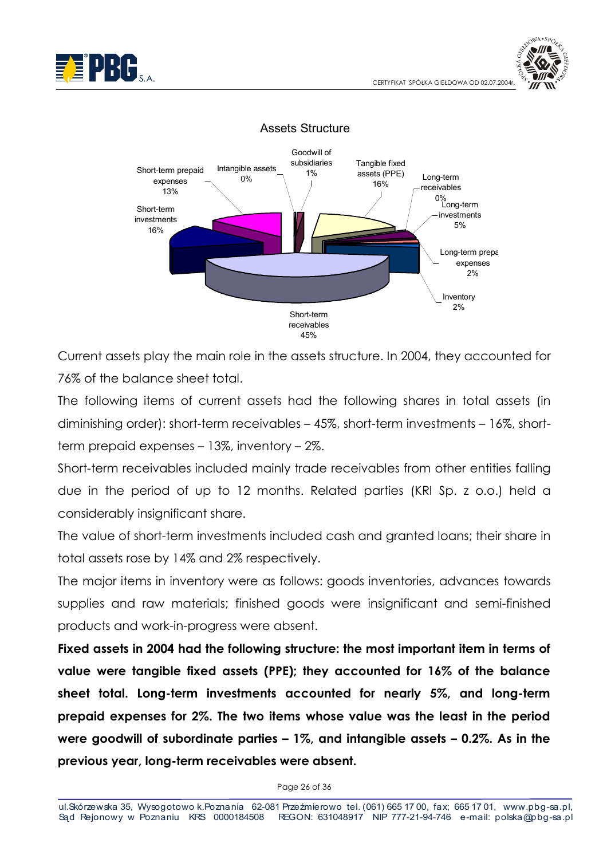





Current assets play the main role in the assets structure. In 2004, they accounted for 76% of the balance sheet total.

The following items of current assets had the following shares in total assets (in diminishing order): short-term receivables – 45%, short-term investments – 16%, shortterm prepaid expenses - 13%, inventory - 2%.

Short-term receivables included mainly trade receivables from other entities falling due in the period of up to 12 months. Related parties (KRI Sp. z o.o.) held a considerably insignificant share.

The value of short-term investments included cash and granted loans; their share in total assets rose by 14% and 2% respectively.

The major items in inventory were as follows: goods inventories, advances towards supplies and raw materials; finished goods were insignificant and semi-finished products and work-in-progress were absent.

Fixed assets in 2004 had the following structure: the most important item in terms of value were tangible fixed assets (PPE); they accounted for 16% of the balance sheet total. Long-term investments accounted for nearly 5%, and long-term prepaid expenses for 2%. The two items whose value was the least in the period were goodwill of subordinate parties  $-1\%$ , and intangible assets  $-0.2\%$ . As in the previous year, long-term receivables were absent.

Page 26 of 36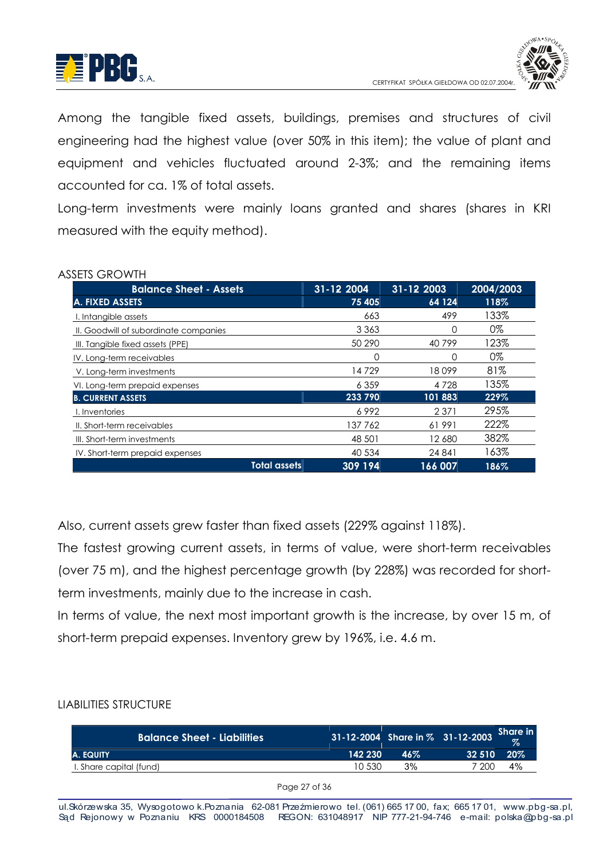



Among the tangible fixed assets, buildings, premises and structures of civil engineering had the highest value (over 50% in this item); the value of plant and equipment and vehicles fluctuated around 2-3%; and the remaining items accounted for ca. 1% of total assets.

Long-term investments were mainly loans granted and shares (shares in KRI measured with the equity method).

#### **ASSETS GROWTH**

| <b>Balance Sheet - Assets</b>         |                     | 31-12 2004 | 31-12 2003 | 2004/2003 |
|---------------------------------------|---------------------|------------|------------|-----------|
| A. FIXED ASSETS                       |                     | 75 405     | 64 124     | 118%      |
| I. Intangible assets                  |                     | 663        | 499        | 133%      |
| II. Goodwill of subordinate companies |                     | 3 3 6 3    | O          | 0%        |
| III. Tangible fixed assets (PPE)      |                     | 50 290     | 40799      | 123%      |
| IV. Long-term receivables             |                     | 0          | 0          | 0%        |
| V. Long-term investments              |                     | 14 729     | 18099      | 81%       |
| VI. Long-term prepaid expenses        |                     | 6 3 5 9    | 4 7 2 8    | 135%      |
| <b>B. CURRENT ASSETS</b>              |                     | 233 790    | 101 883    | 229%      |
| I. Inventories                        |                     | 6992       | 2 3 7 1    | 295%      |
| II. Short-term receivables            |                     | 137762     | 61991      | 222%      |
| III. Short-term investments           |                     | 48 501     | 12680      | 382%      |
| IV. Short-term prepaid expenses       |                     | 40 534     | 24 841     | 163%      |
|                                       | <b>Total assets</b> | 309 194    | 166 007    | 186%      |

Also, current assets grew faster than fixed assets (229% against 118%).

The fastest growing current assets, in terms of value, were short-term receivables (over 75 m), and the highest percentage growth (by 228%) was recorded for shortterm investments, mainly due to the increase in cash.

In terms of value, the next most important growth is the increase, by over 15 m, of short-term prepaid expenses. Inventory grew by 196%, i.e. 4.6 m.

#### **LIABILITIES STRUCTURE**

| <b>Balance Sheet - Liabilities</b> |         |     | 31-12-2004 Share in % 31-12-2003 | <b>Share in</b><br>$\%$ |
|------------------------------------|---------|-----|----------------------------------|-------------------------|
| IA. EQUITY                         | 142 230 | 46% | 32510                            | $20\%$                  |
| I. Share capital (fund)            | 10.530  | 3%  | 7 200 L                          | 4%                      |

Page 27 of 36

ul. Skórzewska 35, Wysogotowo k. Poznania 62-081 Przeźmierowo tel. (061) 665 17 00, fax; 665 17 01, www.pbg-sa.pl, Sąd Rejonowy w Poznaniu KRS 0000184508 REGON: 631048917 NIP 777-21-94-746 e-mail: polska@pbg-sa.pl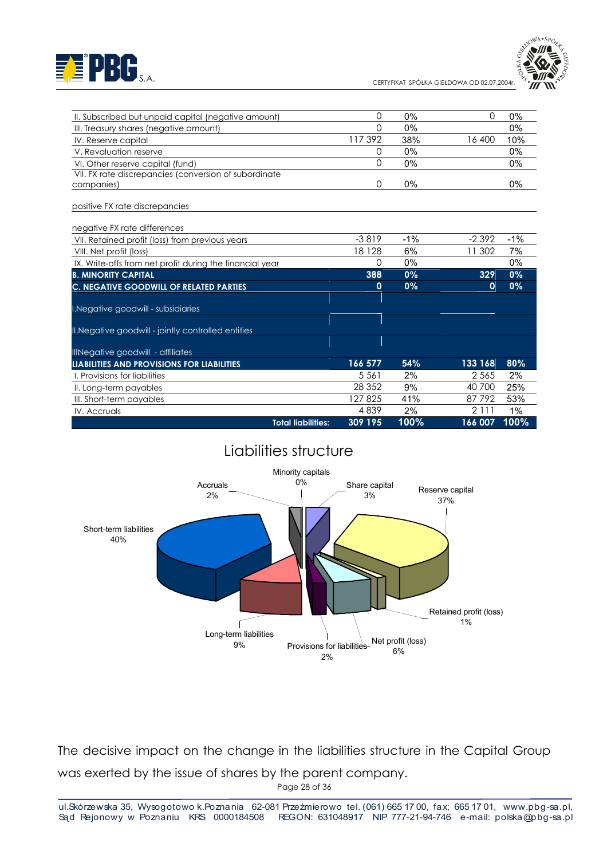# EE PBG S.A.

IV. Accruals

CERTYFIKAT SPÓŁKA GIEŁDOWA OD 02.07.2004r



| II. Subscribed but unpaid capital (negative amount)      | 0           | 0%     | $\Omega$     | $0\%$  |
|----------------------------------------------------------|-------------|--------|--------------|--------|
| III. Treasury shares (negative amount)                   | 0           | 0%     |              | $0\%$  |
| IV. Reserve capital                                      | 117392      | 38%    | 16 400       | 10%    |
| V. Revaluation reserve                                   | 0           | 0%     |              | $0\%$  |
| VI. Other reserve capital (fund)                         | 0           | 0%     |              | $0\%$  |
| VII. FX rate discrepancies (conversion of subordinate    |             |        |              |        |
| companies)                                               | 0           | 0%     |              | $0\%$  |
| positive FX rate discrepancies                           |             |        |              |        |
| negative FX rate differences                             |             |        |              |        |
| VII. Retained profit (loss) from previous years          | $-3819$     | $-1\%$ | $-2392$      | $-1\%$ |
| VIII. Net profit (loss)                                  | 18 1 28     | 6%     | 11 302       | 7%     |
| IX. Write-offs from net profit during the financial year | 0           | 0%     |              | $0\%$  |
| <b>B. MINORITY CAPITAL</b>                               | 388         | $0\%$  | 329          | $0\%$  |
| C. NEGATIVE GOODWILL OF RELATED PARTIES                  | $\mathbf 0$ | $0\%$  | $\mathbf{0}$ | $0\%$  |
| I. Negative goodwill - subsidiaries                      |             |        |              |        |
| II. Negative goodwill - jointly controlled entities      |             |        |              |        |
| IllNegative goodwill - affiliates                        |             |        |              |        |
| LIABILITIES AND PROVISIONS FOR LIABILITIES               | 166 577     | 54%    | 133 168      | 80%    |
| I. Provisions for liabilities                            | 5 5 6 1     | 2%     | 2 5 6 5      | 2%     |
| II. Long-term payables                                   | 28 3 5 2    | 9%     | 40 700       | 25%    |
| III. Short-term payables                                 | 127825      | 41%    | 87792        | 53%    |

## Liabilities structure

**Total liabilities:** 

4839

309 195

 $2%$ 

100%

 $2111$ 

166 007

 $1%$ 

100%



The decisive impact on the change in the liabilities structure in the Capital Group was exerted by the issue of shares by the parent company.

Page 28 of 36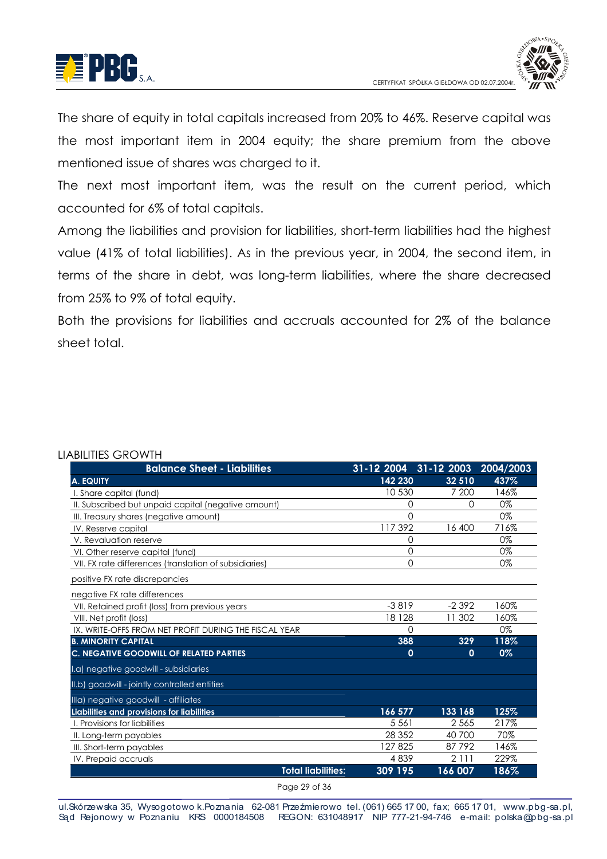



The share of equity in total capitals increased from 20% to 46%. Reserve capital was the most important item in 2004 equity; the share premium from the above mentioned issue of shares was charged to it.

The next most important item, was the result on the current period, which accounted for 6% of total capitals.

Among the liabilities and provision for liabilities, short-term liabilities had the highest value (41% of total liabilities). As in the previous year, in 2004, the second item, in terms of the share in debt, was long-term liabilities, where the share decreased from 25% to 9% of total equity.

Both the provisions for liabilities and accruals accounted for 2% of the balance sheet total

| <b>Balance Sheet - Liabilities</b>                     | 31-12 2004 | 31-12 2003 | 2004/2003 |
|--------------------------------------------------------|------------|------------|-----------|
| <b>A. EQUITY</b>                                       | 142 230    | 32 510     | 437%      |
| I. Share capital (fund)                                | 10 530     | 7 200      | 146%      |
| II. Subscribed but unpaid capital (negative amount)    | $\Omega$   | 0          | 0%        |
| III. Treasury shares (negative amount)                 | $\Omega$   |            | 0%        |
| IV. Reserve capital                                    | 117392     | 16 400     | 716%      |
| V. Revaluation reserve                                 | 0          |            | 0%        |
| VI. Other reserve capital (fund)                       | $\Omega$   |            | 0%        |
| VII. FX rate differences (translation of subsidiaries) | $\Omega$   |            | 0%        |
| positive FX rate discrepancies                         |            |            |           |
| negative FX rate differences                           |            |            |           |
| VII. Retained profit (loss) from previous years        | $-3819$    | $-2392$    | 160%      |
| VIII. Net profit (loss)                                | 18 1 28    | 11 302     | 160%      |
| IX. WRITE-OFFS FROM NET PROFIT DURING THE FISCAL YEAR  | $\Omega$   |            | 0%        |
| <b>B. MINORITY CAPITAL</b>                             | 388        | 329        | 118%      |
| <b>C. NEGATIVE GOODWILL OF RELATED PARTIES</b>         | 0          | 0          | 0%        |
| I.a) negative goodwill - subsidiaries                  |            |            |           |
| II.b) goodwill - jointly controlled entities           |            |            |           |
| Illa) negative goodwill - affiliates                   |            |            |           |
| Liabilities and provisions for liabilities             | 166 577    | 133 168    | 125%      |
| I. Provisions for liabilities                          | 5 5 6 1    | 2 5 6 5    | 217%      |
| II. Long-term payables                                 | 28 3 5 2   | 40 700     | 70%       |
| III. Short-term payables                               | 127825     | 87792      | 146%      |
| IV. Prepaid accruals                                   | 4839       | 2 1 1 1    | 229%      |
| <b>Total liabilities:</b>                              | 309 195    | 166 007    | 186%      |

## **ILARILITIES CROWTH**

Page 29 of 36

ul. Skórzewska 35, Wysogotowo k. Poznania 62-081 Przeźmierowo tel. (061) 665 17 00, fax; 665 17 01, www.pbg-sa.pl, Sąd Rejonowy w Poznaniu KRS 0000184508 REGON: 631048917 NIP 777-21-94-746 e-mail: polska@pbg-sa.pl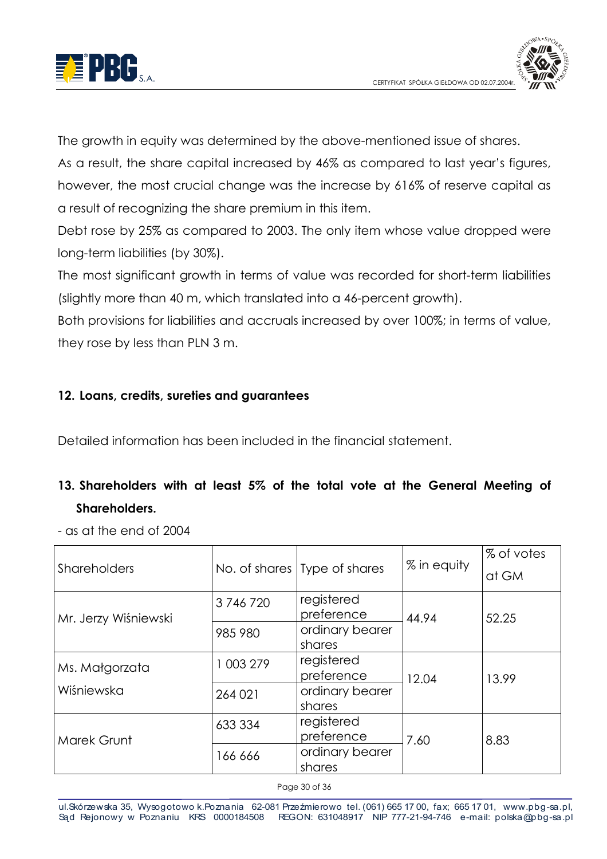

The arowth in equity was determined by the above-mentioned issue of shares. As a result, the share capital increased by 46% as compared to last year's figures, however, the most crucial change was the increase by 616% of reserve capital as a result of recognizing the share premium in this item.

Debt rose by 25% as compared to 2003. The only item whose value dropped were long-term liabilities (by 30%).

The most significant growth in terms of value was recorded for short-term liabilities (slightly more than 40 m, which translated into a 46-percent growth).

Both provisions for liabilities and accruals increased by over 100%; in terms of value, they rose by less than PLN 3 m.

## 12. Loans, credits, sureties and guarantees

Detailed information has been included in the financial statement.

# 13. Shareholders with at least 5% of the total vote at the General Meeting of **Shareholders**

- as at the end of 2004

| <b>Shareholders</b>  |           | No. of shares Type of shares | % in equity | % of votes |
|----------------------|-----------|------------------------------|-------------|------------|
|                      |           |                              |             | at GM      |
| Mr. Jerzy Wiśniewski | 3746720   | registered<br>preference     | 44.94       | 52.25      |
|                      | 985 980   | ordinary bearer<br>shares    |             |            |
| Ms. Małgorzata       | 1 003 279 | registered<br>preference     | 12.04       | 13.99      |
| Wiśniewska           | 264 021   | ordinary bearer<br>shares    |             |            |
| Marek Grunt          | 633 334   | registered<br>preference     | 7.60        | 8.83       |
|                      | 166 666   | ordinary bearer<br>shares    |             |            |

Page 30 of 36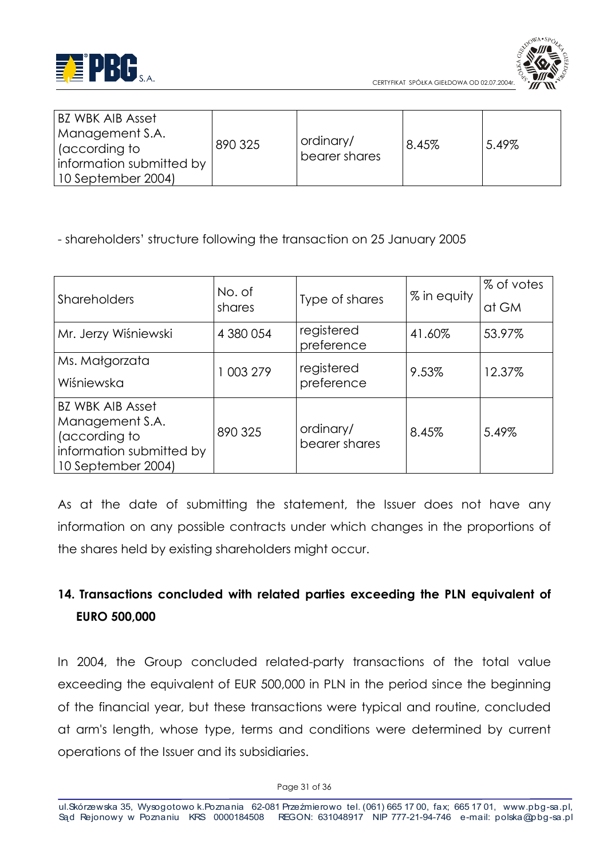



| BZ WBK AIB Asset                                               |         |                            |       |       |
|----------------------------------------------------------------|---------|----------------------------|-------|-------|
| Management S.A.<br>  (according to<br>information submitted by | 890 325 | ordinary/<br>bearer shares | 8.45% | 5.49% |
| 10 September 2004)                                             |         |                            |       |       |

- shareholders' structure following the transaction on 25 January 2005

| Shareholders                     | No. of<br>shares | Type of shares           | % in equity | % of votes |
|----------------------------------|------------------|--------------------------|-------------|------------|
|                                  |                  |                          |             | at GM      |
| Mr. Jerzy Wiśniewski             | 4 380 054        | registered<br>preference | 41.60%      | 53.97%     |
| Ms. Małgorzata                   | 1 003 279        | registered<br>preference | 9.53%       | 12.37%     |
| Wiśniewska                       |                  |                          |             |            |
| <b>BZ WBK AIB Asset</b>          |                  |                          |             |            |
| Management S.A.<br>(according to | 890 325          | ordinary/                | 8.45%       | 5.49%      |
| information submitted by         |                  | bearer shares            |             |            |
| 10 September 2004)               |                  |                          |             |            |

As at the date of submitting the statement, the Issuer does not have any information on any possible contracts under which changes in the proportions of the shares held by existing shareholders might occur.

# 14. Transactions concluded with related parties exceeding the PLN equivalent of **EURO 500,000**

In 2004, the Group concluded related-party transactions of the total value exceeding the equivalent of EUR 500,000 in PLN in the period since the beginning of the financial year, but these transactions were typical and routine, concluded at arm's length, whose type, terms and conditions were determined by current operations of the Issuer and its subsidiaries.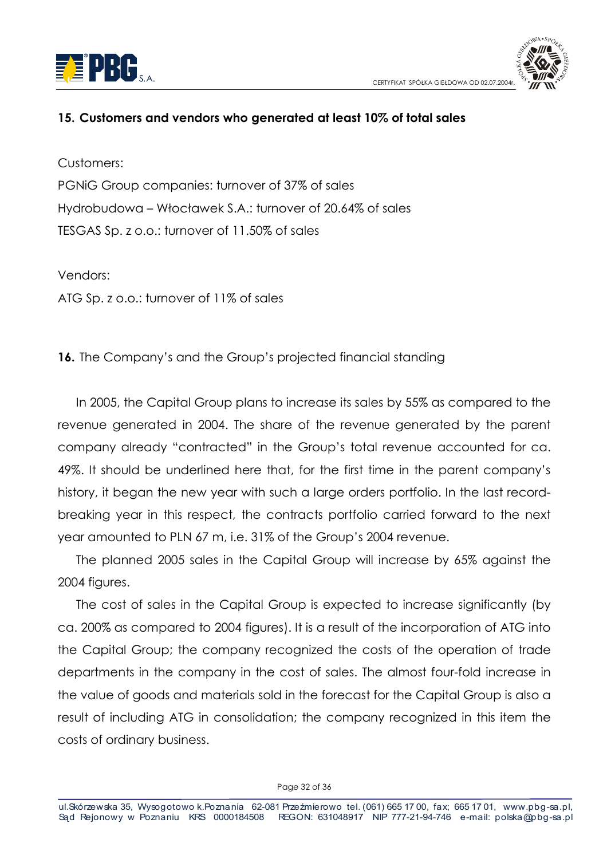



#### 15. Customers and vendors who generated at least 10% of total sales

Customers:

PGNIG Group companies: turnover of 37% of sales Hydrobudowa – Włocławek S.A.: turnover of 20.64% of sales TESGAS Sp. z o.o.: turnover of 11.50% of sales

Vendors: ATG Sp. z o.o.: turnover of 11% of sales

16. The Company's and the Group's projected financial standing

In 2005, the Capital Group plans to increase its sales by 55% as compared to the revenue generated in 2004. The share of the revenue generated by the parent company already "contracted" in the Group's total revenue accounted for ca. 49%. It should be underlined here that, for the first time in the parent company's history, it began the new year with such a large orders portfolio. In the last recordbreaking year in this respect, the contracts portfolio carried forward to the next year amounted to PLN 67 m, i.e. 31% of the Group's 2004 revenue.

The planned 2005 sales in the Capital Group will increase by 65% against the 2004 figures.

The cost of sales in the Capital Group is expected to increase significantly (by ca. 200% as compared to 2004 figures). It is a result of the incorporation of ATG into the Capital Group; the company recognized the costs of the operation of trade departments in the company in the cost of sales. The almost four-fold increase in the value of goods and materials sold in the forecast for the Capital Group is also a result of including ATG in consolidation; the company recognized in this item the costs of ordinary business.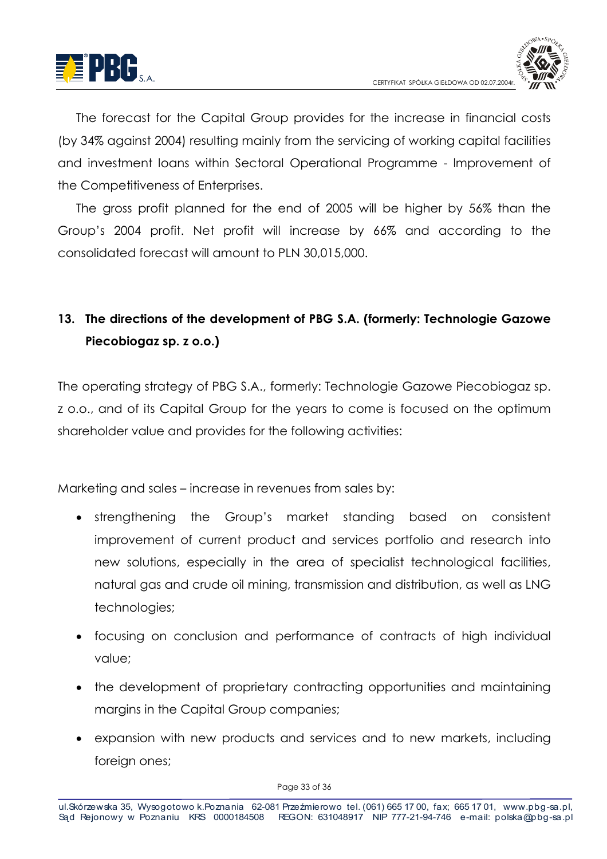



The forecast for the Capital Group provides for the increase in financial costs (by 34% against 2004) resulting mainly from the servicing of working capital facilities and investment loans within Sectoral Operational Programme - Improvement of the Competitiveness of Enterprises.

The gross profit planned for the end of 2005 will be higher by 56% than the Group's 2004 profit. Net profit will increase by 66% and according to the consolidated forecast will amount to PLN 30,015,000.

# 13. The directions of the development of PBG S.A. (formerly: Technologie Gazowe Piecobiogaz sp. z o.o.)

The operating strategy of PBG S.A., formerly: Technologie Gazowe Piecobiogaz sp. z o.o., and of its Capital Group for the years to come is focused on the optimum shareholder value and provides for the following activities:

Marketing and sales – increase in revenues from sales by:

- strengthening the Group's market standing based on consistent improvement of current product and services portfolio and research into new solutions, especially in the area of specialist technological facilities, natural gas and crude oil mining, transmission and distribution, as well as LNG technologies;
- focusing on conclusion and performance of contracts of high individual value;
- the development of proprietary contracting opportunities and maintaining marains in the Capital Group companies:
- expansion with new products and services and to new markets, including foreign ones;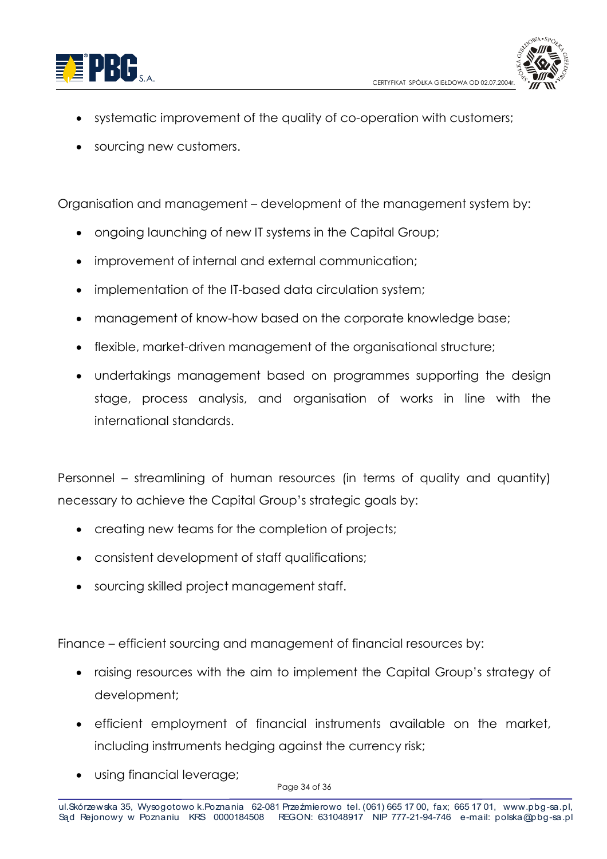



- systematic improvement of the quality of co-operation with customers;
- sourcing new customers.

Organisation and management – development of the management system by:

- ongoing launching of new IT systems in the Capital Group;  $\bullet$
- improvement of internal and external communication;
- implementation of the IT-based data circulation system;  $\bullet$
- management of know-how based on the corporate knowledge base;
- flexible, market-driven management of the organisational structure;
- undertakings management based on programmes supporting the design stage, process analysis, and organisation of works in line with the international standards.

Personnel – streamlining of human resources (in terms of quality and quantity) necessary to achieve the Capital Group's strategic goals by:

- creating new teams for the completion of projects;
- consistent development of staff qualifications;
- sourcing skilled project management staff.

Finance – efficient sourcina and management of financial resources by:

- raising resources with the aim to implement the Capital Group's strategy of development;
- efficient employment of financial instruments available on the market, including instrruments hedging against the currency risk;
- using financial leverage;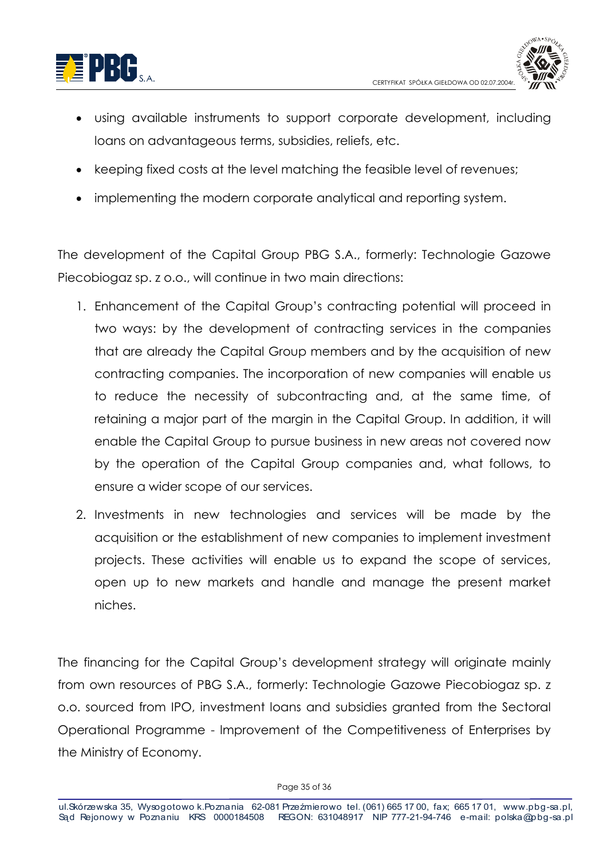



- using available instruments to support corporate development, including loans on advantageous terms, subsidies, reliefs, etc.
- keeping fixed costs at the level matching the feasible level of revenues;
- implementing the modern corporate analytical and reporting system.

The development of the Capital Group PBG S.A., formerly: Technologie Gazowe Piecobiogaz sp. z o.o., will continue in two main directions:

- 1. Enhancement of the Capital Group's contracting potential will proceed in two ways: by the development of contracting services in the companies that are already the Capital Group members and by the acquisition of new contracting companies. The incorporation of new companies will enable us to reduce the necessity of subcontracting and, at the same time, of retaining a major part of the marain in the Capital Group. In addition, it will enable the Capital Group to pursue business in new areas not covered now by the operation of the Capital Group companies and, what follows, to ensure a wider scope of our services.
- 2. Investments in new technologies and services will be made by the acquisition or the establishment of new companies to implement investment projects. These activities will enable us to expand the scope of services, open up to new markets and handle and manage the present market niches.

The financing for the Capital Group's development strategy will originate mainly from own resources of PBG S.A., formerly: Technologie Gazowe Piecobiogaz sp. z o.o. sourced from IPO, investment loans and subsidies granted from the Sectoral Operational Programme - Improvement of the Competitiveness of Enterprises by the Ministry of Economy.